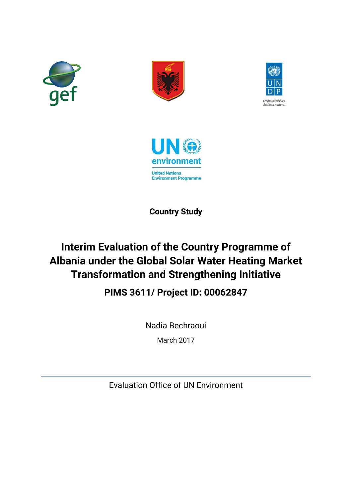







**Country Study**

# **Interim Evaluation of the Country Programme of Albania under the Global Solar Water Heating Market Transformation and Strengthening Initiative**

## **PIMS 3611/ Project ID: 00062847**

Nadia Bechraoui

March 2017

Evaluation Office of UN Environment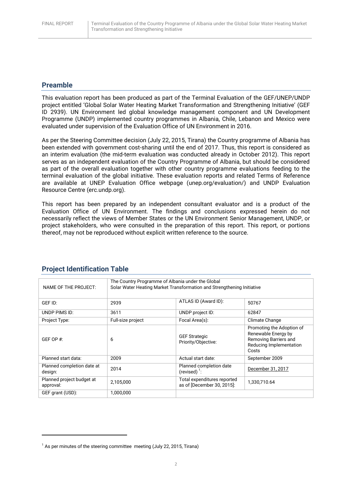### **Preamble**

This evaluation report has been produced as part of the Terminal Evaluation of the GEF/UNEP/UNDP project entitled 'Global Solar Water Heating Market Transformation and Strengthening Initiative' (GEF ID 2939). UN Environment led global knowledge management component and UN Development Programme (UNDP) implemented country programmes in Albania, Chile, Lebanon and Mexico were evaluated under supervision of the Evaluation Office of UN Environment in 2016.

As per the Steering Committee decision (July 22, 2015, Tirana) the Country programme of Albania has been extended with government cost-sharing until the end of 2017. Thus, this report is considered as an interim evaluation (the mid-term evaluation was conducted already in October 2012). This report serves as an independent evaluation of the Country Programme of Albania, but should be considered as part of the overall evaluation together with other country programme evaluations feeding to the terminal evaluation of the global initiative. These evaluation reports and related Terms of Reference are available at UNEP Evaluation Office webpage (unep.org/evaluation/) and UNDP Evaluation Resource Centre (erc.undp.org).

This report has been prepared by an independent consultant evaluator and is a product of the Evaluation Office of UN Environment. The findings and conclusions expressed herein do not necessarily reflect the views of Member States or the UN Environment Senior Management, UNDP, or project stakeholders, who were consulted in the preparation of this report. This report, or portions thereof, may not be reproduced without explicit written reference to the source.

| NAME OF THE PROJECT:                   | The Country Programme of Albania under the Global<br>Solar Water Heating Market Transformation and Strengthening Initiative |                                                           |                                                                                                               |
|----------------------------------------|-----------------------------------------------------------------------------------------------------------------------------|-----------------------------------------------------------|---------------------------------------------------------------------------------------------------------------|
| GEF ID:                                | 2939                                                                                                                        | ATLAS ID (Award ID):                                      | 50767                                                                                                         |
| UNDP PIMS ID:                          | 3611                                                                                                                        | UNDP project ID:                                          | 62847                                                                                                         |
| Project Type:                          | Full-size project                                                                                                           | Focal Area(s):                                            | Climate Change                                                                                                |
| GEF OP $#$ :                           | 6                                                                                                                           | <b>GEF Strategic</b><br>Priority/Objective:               | Promoting the Adoption of<br>Renewable Energy by<br>Removing Barriers and<br>Reducing Implementation<br>Costs |
| Planned start data:                    | 2009                                                                                                                        | Actual start date:                                        | September 2009                                                                                                |
| Planned completion date at<br>design:  | 2014                                                                                                                        | Planned completion date<br>(revised) $^1$ :               | December 31, 2017                                                                                             |
| Planned project budget at<br>approval: | 2,105,000                                                                                                                   | Total expenditures reported<br>as of [December 30, 2015]: | 1,330,710.64                                                                                                  |
| GEF grant (USD):                       | 1,000,000                                                                                                                   |                                                           |                                                                                                               |

## **Project Identification Table**

**.** 

 $1$  As per minutes of the steering committee meeting (July 22, 2015, Tirana)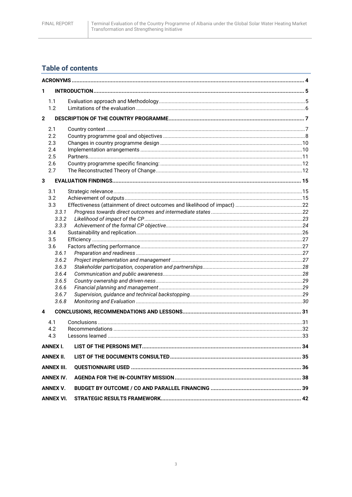## **Table of contents**

| 1           |                   |  |
|-------------|-------------------|--|
|             | 1.1               |  |
|             | 1.2               |  |
| $\mathbf 2$ |                   |  |
|             | 2.1               |  |
|             | 2.2               |  |
|             | 2.3               |  |
|             | 2.4               |  |
|             | 2.5               |  |
|             | 2.6               |  |
|             | 2.7               |  |
| 3           |                   |  |
|             | 3.1               |  |
|             | 3.2               |  |
|             | 3.3               |  |
|             | 3.3.1             |  |
|             | 3.3.2             |  |
|             | 3.3.3             |  |
|             | 3.4<br>3.5        |  |
|             | 3.6               |  |
|             | 3.6.1             |  |
|             | 3.6.2             |  |
|             | 3.6.3             |  |
|             | 3.6.4             |  |
|             | 3.6.5             |  |
|             | 3.6.6             |  |
|             | 3.6.7             |  |
|             | 3.6.8             |  |
| 4           |                   |  |
|             | 4.1               |  |
|             | 4.2               |  |
|             | 4.3               |  |
|             | <b>ANNEX I.</b>   |  |
|             | <b>ANNEX II.</b>  |  |
|             | <b>ANNEX III.</b> |  |
|             | <b>ANNEX IV.</b>  |  |
|             | <b>ANNEX V.</b>   |  |
|             | <b>ANNEX VI.</b>  |  |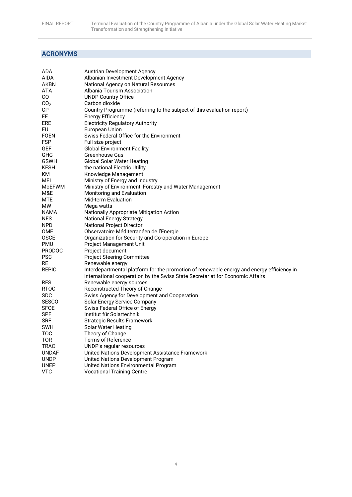## <span id="page-3-0"></span>**ACRONYMS**

| ADA             | <b>Austrian Development Agency</b>                                                                                                                                         |
|-----------------|----------------------------------------------------------------------------------------------------------------------------------------------------------------------------|
| AIDA            | Albanian Investment Development Agency                                                                                                                                     |
| AKBN            | National Agency on Natural Resources                                                                                                                                       |
| ATA             | Albania Tourism Association                                                                                                                                                |
| CO              | <b>UNDP Country Office</b>                                                                                                                                                 |
| CO <sub>2</sub> | Carbon dioxide                                                                                                                                                             |
| СP              | Country Programme (referring to the subject of this evaluation report)                                                                                                     |
| EE              | <b>Energy Efficiency</b>                                                                                                                                                   |
| ERE             | <b>Electricity Regulatory Authority</b>                                                                                                                                    |
| EU              | European Union                                                                                                                                                             |
| FOEN            | Swiss Federal Office for the Environment                                                                                                                                   |
| FSP             | Full size project                                                                                                                                                          |
| GEF             | <b>Global Environment Facility</b>                                                                                                                                         |
| GHG             | <b>Greenhouse Gas</b>                                                                                                                                                      |
| <b>GSWH</b>     | Global Solar Water Heating                                                                                                                                                 |
| <b>KESH</b>     | the national Electric Utility                                                                                                                                              |
| ΚM              | Knowledge Management                                                                                                                                                       |
| MEI             |                                                                                                                                                                            |
| <b>MOEFWM</b>   | Ministry of Energy and Industry<br>Ministry of Environment, Forestry and Water Management                                                                                  |
| M&E             |                                                                                                                                                                            |
|                 | Monitoring and Evaluation                                                                                                                                                  |
| MTE<br>МW       | <b>Mid-term Evaluation</b>                                                                                                                                                 |
|                 | Mega watts                                                                                                                                                                 |
| NAMA            | <b>Nationally Appropriate Mitigation Action</b>                                                                                                                            |
| <b>NES</b>      | <b>National Energy Strategy</b>                                                                                                                                            |
| <b>NPD</b>      | <b>National Project Director</b>                                                                                                                                           |
| <b>OME</b>      | Observatoire Méditerranéen de l'Energie                                                                                                                                    |
| <b>OSCE</b>     | Organization for Security and Co-operation in Europe                                                                                                                       |
| PMU             | Project Management Unit                                                                                                                                                    |
| <b>PRODOC</b>   | Project document                                                                                                                                                           |
| <b>PSC</b>      | <b>Project Steering Committee</b>                                                                                                                                          |
| RE              | Renewable energy                                                                                                                                                           |
| REPIC           | Interdepartmental platform for the promotion of renewable energy and energy efficiency in<br>international cooperation by the Swiss State Secretariat for Economic Affairs |
| <b>RES</b>      | Renewable energy sources                                                                                                                                                   |
| <b>RTOC</b>     | Reconstructed Theory of Change                                                                                                                                             |
| <b>SDC</b>      | Swiss Agency for Development and Cooperation                                                                                                                               |
| <b>SESCO</b>    | Solar Energy Service Company                                                                                                                                               |
| <b>SFOE</b>     | Swiss Federal Office of Energy                                                                                                                                             |
| <b>SPF</b>      | Institut für Solartechnik                                                                                                                                                  |
| <b>SRF</b>      | <b>Strategic Results Framework</b>                                                                                                                                         |
| SWH             | Solar Water Heating                                                                                                                                                        |
| TOC             | Theory of Change                                                                                                                                                           |
| TOR             | Terms of Reference                                                                                                                                                         |
| TRAC            | UNDP's regular resources                                                                                                                                                   |
| <b>UNDAF</b>    | United Nations Development Assistance Framework                                                                                                                            |
| <b>UNDP</b>     | United Nations Development Program                                                                                                                                         |
| UNEP            | United Nations Environmental Program                                                                                                                                       |
| <b>VTC</b>      | <b>Vocational Training Centre</b>                                                                                                                                          |
|                 |                                                                                                                                                                            |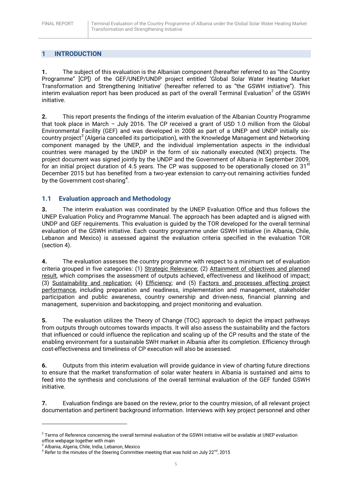## <span id="page-4-0"></span>**1 INTRODUCTION**

**1.** The subject of this evaluation is the Albanian component (hereafter referred to as "the Country Programme" [CP]) of the GEF/UNEP/UNDP project entitled 'Global Solar Water Heating Market Transformation and Strengthening Initiative' (hereafter referred to as "the GSWH initiative"). This interim evaluation report has been produced as part of the overall Terminal Evaluation<sup>2</sup> of the GSWH initiative.

**2.** This report presents the findings of the interim evaluation of the Albanian Country Programme that took place in March – July 2016. The CP received a grant of USD 1.0 million from the Global Environmental Facility (GEF) and was developed in 2008 as part of a UNEP and UNDP initially sixcountry project<sup>3</sup> (Algeria cancelled its participation), with the Knowledge Management and Networking component managed by the UNEP, and the individual implementation aspects in the individual countries were managed by the UNDP in the form of six nationally executed (NEX) projects. The project document was signed jointly by the UNDP and the Government of Albania in September 2009, for an initial project duration of 4.5 years. The CP was supposed to be operationally closed on 31 $st$ December 2015 but has benefited from a two-year extension to carry-out remaining activities funded by the Government cost-sharing<sup>4</sup>.

## <span id="page-4-1"></span>**1.1 Evaluation approach and Methodology**

**3.** The interim evaluation was coordinated by the UNEP Evaluation Office and thus follows the UNEP Evaluation Policy and Programme Manual. The approach has been adapted and is aligned with UNDP and GEF requirements. This evaluation is guided by the TOR developed for the overall terminal evaluation of the GSWH initiative. Each country programme under GSWH Initiative (in Albania, Chile, Lebanon and Mexico) is assessed against the evaluation criteria specified in the evaluation TOR (section 4).

**4.** The evaluation assesses the country programme with respect to a minimum set of evaluation criteria grouped in five categories: (1) Strategic Relevance; (2) Attainment of objectives and planned result, which comprises the assessment of outputs achieved, effectiveness and likelihood of impact; (3) Sustainability and replication; (4) Efficiency; and (5) Factors and processes affecting project performance, including preparation and readiness, implementation and management, stakeholder participation and public awareness, country ownership and driven-ness, financial planning and management, supervision and backstopping, and project monitoring and evaluation.

**5.** The evaluation utilizes the Theory of Change (TOC) approach to depict the impact pathways from outputs through outcomes towards impacts. It will also assess the sustainability and the factors that influenced or could influence the replication and scaling up of the CP results and the state of the enabling environment for a sustainable SWH market in Albania after its completion. Efficiency through cost-effectiveness and timeliness of CP execution will also be assessed.

**6.** Outputs from this interim evaluation will provide guidance in view of charting future directions to ensure that the market transformation of solar water heaters in Albania is sustained and aims to feed into the synthesis and conclusions of the overall terminal evaluation of the GEF funded GSWH initiative.

**7.** Evaluation findings are based on the review, prior to the country mission, of all relevant project documentation and pertinent background information. Interviews with key project personnel and other

**.** 

 $^2$  Terms of Reference concerning the overall terminal evaluation of the GSWH initiative will be available at UNEP evaluation office webpage together with main

<sup>&</sup>lt;sup>3</sup> Albania, Algeria, Chile, India, Lebanon, Mexico

 $^4$  Refer to the minutes of the Steering Committee meeting that was hold on July 22 $^{\text{nd}}$ , 2015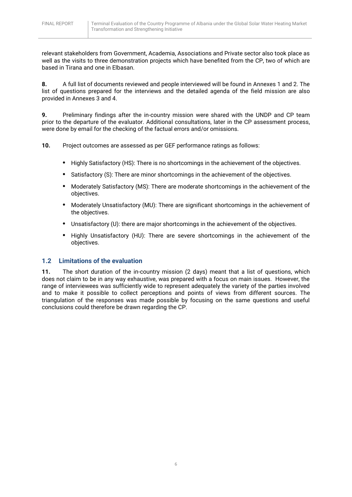relevant stakeholders from Government, Academia, Associations and Private sector also took place as well as the visits to three demonstration projects which have benefited from the CP, two of which are based in Tirana and one in Elbasan.

**8.** A full list of documents reviewed and people interviewed will be found in Annexes 1 and 2. The list of questions prepared for the interviews and the detailed agenda of the field mission are also provided in Annexes 3 and 4.

**9.** Preliminary findings after the in-country mission were shared with the UNDP and CP team prior to the departure of the evaluator. Additional consultations, later in the CP assessment process, were done by email for the checking of the factual errors and/or omissions.

**10.** Project outcomes are assessed as per GEF performance ratings as follows:

- **•** Highly Satisfactory (HS): There is no shortcomings in the achievement of the objectives.
- **•** Satisfactory (S): There are minor shortcomings in the achievement of the objectives.
- **•** Moderately Satisfactory (MS): There are moderate shortcomings in the achievement of the objectives.
- **•** Moderately Unsatisfactory (MU): There are significant shortcomings in the achievement of the objectives.
- **•** Unsatisfactory (U): there are major shortcomings in the achievement of the objectives.
- **•** Highly Unsatisfactory (HU): There are severe shortcomings in the achievement of the objectives.

## <span id="page-5-0"></span>**1.2 Limitations of the evaluation**

**11.** The short duration of the in-country mission (2 days) meant that a list of questions, which does not claim to be in any way exhaustive, was prepared with a focus on main issues. However, the range of interviewees was sufficiently wide to represent adequately the variety of the parties involved and to make it possible to collect perceptions and points of views from different sources. The triangulation of the responses was made possible by focusing on the same questions and useful conclusions could therefore be drawn regarding the CP.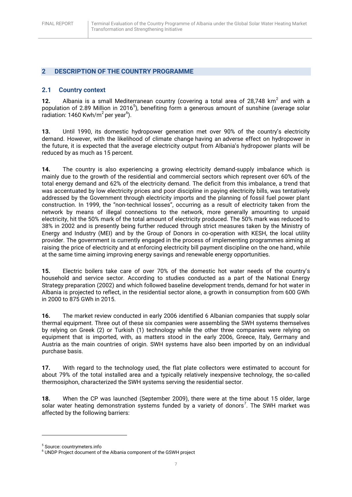## <span id="page-6-0"></span>**2 DESCRIPTION OF THE COUNTRY PROGRAMME**

#### <span id="page-6-1"></span>**2.1 Country context**

12. Albania is a small Mediterranean country (covering a total area of 28,748 km<sup>2</sup> and with a population of 2.89 Million in 2016<sup>5</sup>), benefiting form a generous amount of sunshine (average solar radiation: 1460 Kwh/m<sup>2</sup> per year<sup>6</sup>).

**13.** Until 1990, its domestic hydropower generation met over 90% of the country's electricity demand. However, with the likelihood of climate change having an [adverse effect on hydropower](http://web.worldbank.org/WBSITE/EXTERNAL/COUNTRIES/ECAEXT/0,,contentMDK:22717197~pagePK:146736~piPK:146830~theSitePK:258599,00.html) in the future, it is expected that the average electricity output from Albania's hydropower plants will be reduced by as much as 15 percent.

**14.** The country is also experiencing a growing electricity demand-supply imbalance which is mainly due to the growth of the residential and commercial sectors which represent over 60% of the total energy demand and 62% of the electricity demand. The deficit from this imbalance, a trend that was accentuated by low electricity prices and poor discipline in paying electricity bills, was tentatively addressed by the Government through electricity imports and the planning of fossil fuel power plant construction. In 1999, the "non-technical losses", occurring as a result of electricity taken from the network by means of illegal connections to the network, more generally amounting to unpaid electricity, hit the 50% mark of the total amount of electricity produced. The 50% mark was reduced to 38% in 2002 and is presently being further reduced through strict measures taken by the Ministry of Energy and Industry (MEI) and by the Group of Donors in co-operation with KESH, the local utility provider. The government is currently engaged in the process of implementing programmes aiming at raising the price of electricity and at enforcing electricity bill payment discipline on the one hand, while at the same time aiming improving energy savings and renewable energy opportunities.

**15.** Electric boilers take care of over 70% of the domestic hot water needs of the country's household and service sector. According to studies conducted as a part of the National Energy Strategy preparation (2002) and which followed baseline development trends, demand for hot water in Albania is projected to reflect, in the residential sector alone, a growth in consumption from 600 GWh in 2000 to 875 GWh in 2015.

**16.** The market review conducted in early 2006 identified 6 Albanian companies that supply solar thermal equipment. Three out of these six companies were assembling the SWH systems themselves by relying on Greek (2) or Turkish (1) technology while the other three companies were relying on equipment that is imported, with, as matters stood in the early 2006, Greece, Italy, Germany and Austria as the main countries of origin. SWH systems have also been imported by on an individual purchase basis.

**17.** With regard to the technology used, the flat plate collectors were estimated to account for about 79% of the total installed area and a typically relatively inexpensive technology, the so-called thermosiphon, characterized the SWH systems serving the residential sector.

**18.** When the CP was launched (September 2009), there were at the time about 15 older, large solar water heating demonstration systems funded by a variety of donors<sup>7</sup>. The SWH market was affected by the following barriers:

**.** 

<sup>5</sup> Source: countrymeters.info

<sup>&</sup>lt;sup>6</sup> UNDP Project document of the Albania component of the GSWH project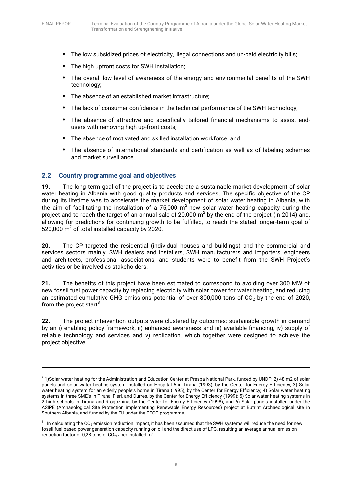$\overline{a}$ 

- **•** The low subsidized prices of electricity, illegal connections and un-paid electricity bills;
- **•** The high upfront costs for SWH installation;
- **•** The overall low level of awareness of the energy and environmental benefits of the SWH technology;
- **•** The absence of an established market infrastructure;
- **•** The lack of consumer confidence in the technical performance of the SWH technology;
- **•** The absence of attractive and specifically tailored financial mechanisms to assist endusers with removing high up-front costs;
- **•** The absence of motivated and skilled installation workforce; and
- **•** The absence of international standards and certification as well as of labeling schemes and market surveillance.

#### <span id="page-7-0"></span>**2.2 Country programme goal and objectives**

**19.** The long term goal of the project is to accelerate a sustainable market development of solar water heating in Albania with good quality products and services. The specific objective of the CP during its lifetime was to accelerate the market development of solar water heating in Albania, with the aim of facilitating the installation of a 75,000 m<sup>2</sup> new solar water heating capacity during the project and to reach the target of an annual sale of 20,000  $m^2$  by the end of the project (in 2014) and, allowing for predictions for continuing growth to be fulfilled, to reach the stated longer-term goal of 520,000  $m^2$  of total installed capacity by 2020.

**20.** The CP targeted the residential (individual houses and buildings) and the commercial and services sectors mainly. SWH dealers and installers, SWH manufacturers and importers, engineers and architects, professional associations, and students were to benefit from the SWH Project's activities or be involved as stakeholders.

**21.** The benefits of this project have been estimated to correspond to avoiding over 300 MW of new fossil fuel power capacity by replacing electricity with solar power for water heating, and reducing an estimated cumulative GHG emissions potential of over 800,000 tons of  $CO<sub>2</sub>$  by the end of 2020, from the project start $^8$  .

**22.** The project intervention outputs were clustered by outcomes: sustainable growth in demand by an i) enabling policy framework, ii) enhanced awareness and iii) available financing, iv) supply of reliable technology and services and v) replication, which together were designed to achieve the project objective.

 $^7$  1)Solar water heating for the Administration and Education Center at Prespa National Park, funded by UNDP; 2) 48 m2 of solar panels and solar water heating system installed on Hospital 5 in Tirana (1993), by the Center for Energy Efficiency; 3) Solar water heating system for an elderly people's home in Tirana (1995), by the Center for Energy Efficiency; 4) Solar water heating systems in three SME's in Tirana, Fieri, and Durres, by the Center for Energy Efficiency (1999); 5) Solar water heating systems in 2 high schools in Tirana and Rrogozhina, by the Center for Energy Efficiency (1998); and 6) Solar panels installed under the ASIPE (Archaeological Site Protection implementing Renewable Energy Resources) project at Butrint Archaeological site in Southern Albania, and funded by the EU under the PECO programme.

 $8$  In calculating the CO<sub>2</sub> emission reduction impact, it has been assumed that the SWH systems will reduce the need for new fossil fuel based power generation capacity running on oil and the direct use of LPG, resulting an average annual emission reduction factor of 0,28 tons of  $CO_{2eq}$  per installed m<sup>2</sup>.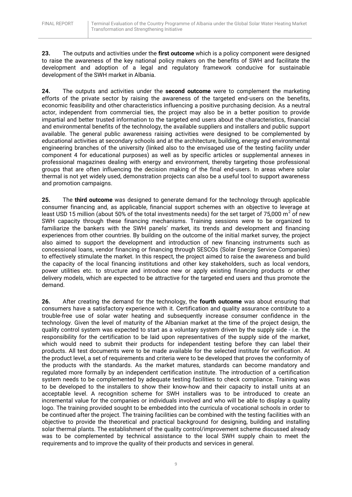**23.** The outputs and activities under the **first outcome** which is a policy component were designed to raise the awareness of the key national policy makers on the benefits of SWH and facilitate the development and adoption of a legal and regulatory framework conducive for sustainable development of the SWH market in Albania.

**24.** The outputs and activities under the **second outcome** were to complement the marketing efforts of the private sector by raising the awareness of the targeted end-users on the benefits, economic feasibility and other characteristics influencing a positive purchasing decision. As a neutral actor, independent from commercial ties, the project may also be in a better position to provide impartial and better trusted information to the targeted end users about the characteristics, financial and environmental benefits of the technology, the available suppliers and installers and public support available. The general public awareness raising activities were designed to be complemented by educational activities at secondary schools and at the architecture, building, energy and environmental engineering branches of the university (linked also to the envisaged use of the testing facility under component 4 for educational purposes) as well as by specific articles or supplemental annexes in professional magazines dealing with energy and environment, thereby targeting those professional groups that are often influencing the decision making of the final end-users. In areas where solar thermal is not yet widely used, demonstration projects can also be a useful tool to support awareness and promotion campaigns.

**25.** The **third outcome** was designed to generate demand for the technology through applicable consumer financing and, as applicable, financial support schemes with an objective to leverage at least USD 15 million (about 50% of the total investments needs) for the set target of 75,000 m<sup>2</sup> of new SWH capacity through these financing mechanisms. Training sessions were to be organized to familiarize the bankers with the SWH panels' market, its trends and development and financing experiences from other countries. By building on the outcome of the initial market survey, the project also aimed to support the development and introduction of new financing instruments such as concessional loans, vendor financing or financing through SESCOs (Solar Energy Service Companies) to effectively stimulate the market. In this respect, the project aimed to raise the awareness and build the capacity of the local financing institutions and other key stakeholders, such as local vendors, power utilities etc. to structure and introduce new or apply existing financing products or other delivery models, which are expected to be attractive for the targeted end users and thus promote the demand.

**26.** After creating the demand for the technology, the **fourth outcome** was about ensuring that consumers have a satisfactory experience with it. Certification and quality assurance contribute to a trouble-free use of solar water heating and subsequently increase consumer confidence in the technology. Given the level of maturity of the Albanian market at the time of the project design, the quality control system was expected to start as a voluntary system driven by the supply side - i.e. the responsibility for the certification to be laid upon representatives of the supply side of the market, which would need to submit their products for independent testing before they can label their products. All test documents were to be made available for the selected institute for verification. At the product level, a set of requirements and criteria were to be developed that proves the conformity of the products with the standards. As the market matures, standards can become mandatory and regulated more formally by an independent certification institute. The introduction of a certification system needs to be complemented by adequate testing facilities to check compliance. Training was to be developed to the installers to show their know-how and their capacity to install units at an acceptable level. A recognition scheme for SWH installers was to be introduced to create an incremental value for the companies or individuals involved and who will be able to display a quality logo. The training provided sought to be embedded into the curricula of vocational schools in order to be continued after the project. The training facilities can be combined with the testing facilities with an objective to provide the theoretical and practical background for designing, building and installing solar thermal plants. The establishment of the quality control/improvement scheme discussed already was to be complemented by technical assistance to the local SWH supply chain to meet the requirements and to improve the quality of their products and services in general.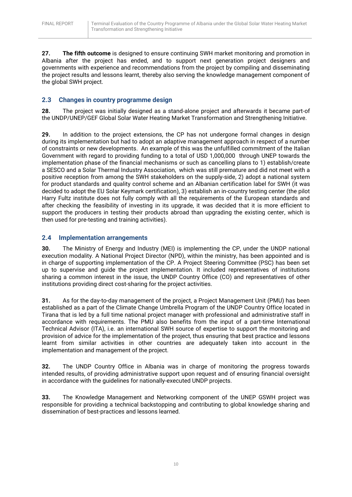**27. The fifth outcome** is designed to ensure continuing SWH market monitoring and promotion in Albania after the project has ended, and to support next generation project designers and governments with experience and recommendations from the project by compiling and disseminating the project results and lessons learnt, thereby also serving the knowledge management component of the global SWH project.

## <span id="page-9-0"></span>**2.3 Changes in country programme design**

**28.** The project was initially designed as a stand-alone project and afterwards it became part-of the UNDP/UNEP/GEF Global Solar Water Heating Market Transformation and Strengthening Initiative.

**29.** In addition to the project extensions, the CP has not undergone formal changes in design during its implementation but had to adopt an adaptive management approach in respect of a number of constraints or new developments. An example of this was the unfulfilled commitment of the Italian Government with regard to providing funding to a total of USD 1,000,000 through UNEP towards the implementation phase of the financial mechanisms or such as cancelling plans to 1) establish/create a SESCO and a Solar Thermal Industry Association, which was still premature and did not meet with a positive reception from among the SWH stakeholders on the supply-side, 2) adopt a national system for product standards and quality control scheme and an Albanian certification label for SWH (it was decided to adopt the EU Solar Keymark certification), 3) establish an in-country testing center (the pilot Harry Fultz institute does not fully comply with all the requirements of the European standards and after checking the feasibility of investing in its upgrade, it was decided that it is more efficient to support the producers in testing their products abroad than upgrading the existing center, which is then used for pre-testing and training activities).

## <span id="page-9-1"></span>**2.4 Implementation arrangements**

**30.** The Ministry of Energy and Industry (MEI) is implementing the CP, under the UNDP national execution modality. A National Project Director (NPD), within the ministry, has been appointed and is in charge of supporting implementation of the CP. A Project Steering Committee (PSC) has been set up to supervise and guide the project implementation. It included representatives of institutions sharing a common interest in the issue, the UNDP Country Office (CO) and representatives of other institutions providing direct cost-sharing for the project activities.

**31.** As for the day-to-day management of the project, a Project Management Unit (PMU) has been established as a part of the Climate Change Umbrella Program of the UNDP Country Office located in Tirana that is led by a full time national project manager with professional and administrative staff in accordance with requirements. The PMU also benefits from the input of a part-time International Technical Advisor (ITA), i.e. an international SWH source of expertise to support the monitoring and provision of advice for the implementation of the project, thus ensuring that best practice and lessons learnt from similar activities in other countries are adequately taken into account in the implementation and management of the project.

**32.** The UNDP Country Office in Albania was in charge of monitoring the progress towards intended results, of providing administrative support upon request and of ensuring financial oversight in accordance with the guidelines for nationally-executed UNDP projects.

**33.** The Knowledge Management and Networking component of the UNEP GSWH project was responsible for providing a technical backstopping and contributing to global knowledge sharing and dissemination of best-practices and lessons learned.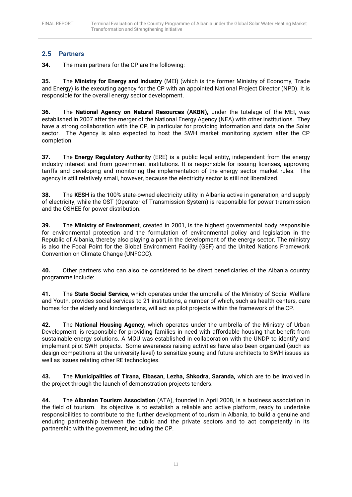## <span id="page-10-0"></span>**2.5 Partners**

**34.** The main partners for the CP are the following:

**35.** The **Ministry for Energy and Industry** (MEI) (which is the former Ministry of Economy, Trade and Energy) is the executing agency for the CP with an appointed National Project Director (NPD). It is responsible for the overall energy sector development.

**36.** The **National Agency on Natural Resources (AKBN),** under the tutelage of the MEI, was established in 2007 after the merger of the National Energy Agency (NEA) with other institutions. They have a strong collaboration with the CP, in particular for providing information and data on the Solar sector. The Agency is also expected to host the SWH market monitoring system after the CP completion.

**37.** The **Energy Regulatory Authority** (ERE) is a public legal entity, independent from the energy industry interest and from government institutions. It is responsible for issuing licenses, approving tariffs and developing and monitoring the implementation of the energy sector market rules. The agency is still relatively small, however, because the electricity sector is still not liberalized.

**38.** The **KESH** is the 100% state-owned electricity utility in Albania active in generation, and supply of electricity, while the OST (Operator of Transmission System) is responsible for power transmission and the OSHEE for power distribution.

**39.** The **Ministry of Environment**, created in 2001, is the highest governmental body responsible for environmental protection and the formulation of environmental policy and legislation in the Republic of Albania, thereby also playing a part in the development of the energy sector. The ministry is also the Focal Point for the Global Environment Facility (GEF) and the United Nations Framework Convention on Climate Change (UNFCCC).

**40.** Other partners who can also be considered to be direct beneficiaries of the Albania country programme include:

**41.** The **State Social Service**, which operates under the umbrella of the Ministry of Social Welfare and Youth, provides social services to 21 institutions, a number of which, such as health centers, care homes for the elderly and kindergartens, will act as pilot projects within the framework of the CP.

**42.** The **National Housing Agency**, which operates under the umbrella of the Ministry of Urban Development, is responsible for providing families in need with affordable housing that benefit from sustainable energy solutions. A MOU was established in collaboration with the UNDP to identify and implement pilot SWH projects. Some awareness raising activities have also been organized (such as design competitions at the university level) to sensitize young and future architects to SWH issues as well as issues relating other RE technologies.

**43.** The **Municipalities of Tirana, Elbasan, Lezha, Shkodra, Saranda,** which are to be involved in the project through the launch of demonstration projects tenders.

**44.** The **Albanian Tourism Association** (ATA), founded in April 2008, is a business association in the field of tourism. Its objective is to establish a reliable and active platform, ready to undertake responsibilities to contribute to the further development of tourism in Albania, to build a genuine and enduring partnership between the public and the private sectors and to act competently in its partnership with the government, including the CP.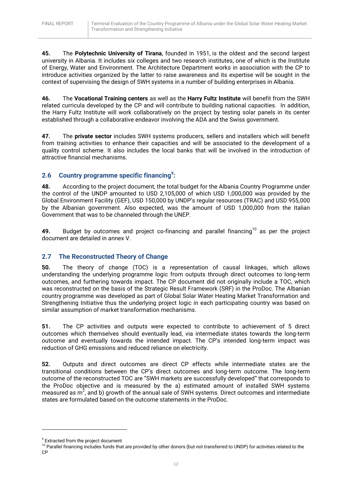**45.** The **Polytechnic University of Tirana**, founded in 1951, is the oldest and the second largest university in Albania. It includes six colleges and two research institutes, one of which is the Institute of Energy, Water and Environment. The Architecture Department works in association with the CP to introduce activities organized by the latter to raise awareness and its expertise will be sought in the context of supervising the design of SWH systems in a number of building enterprises in Albania.

**46.** The **Vocational Training centers** as well as the **Harry Fultz Institute** will benefit from the SWH related curricula developed by the CP and will contribute to building national capacities. In addition, the Harry Fultz Institute will work collaboratively on the project by testing solar panels in its center established through a collaborative endeavor involving the ADA and the Swiss government.

**47.** The **private sector** includes SWH systems producers, sellers and installers which will benefit from training activities to enhance their capacities and will be associated to the development of a quality control scheme. It also includes the local banks that will be involved in the introduction of attractive financial mechanisms.

## <span id="page-11-0"></span>**2.6 Country programme specific financing<sup>9</sup> :**

**48.** According to the project document, the total budget for the Albania Country Programme under the control of the UNDP amounted to USD 2,105,000 of which USD 1,000,000 was provided by the Global Environment Facility (GEF), USD 150,000 by UNDP's regular resources (TRAC) and USD 955,000 by the Albanian government. Also expected, was the amount of USD 1,000,000 from the Italian Government that was to be channeled through the UNEP.

49. Budget by outcomes and project co-financing and parallel financing<sup>10</sup> as per the project document are detailed in annex V.

## <span id="page-11-1"></span>**2.7 The Reconstructed Theory of Change**

**50.** The theory of change (TOC) is a representation of causal linkages, which allows understanding the underlying programme logic from outputs through direct outcomes to long-term outcomes, and furthering towards impact. The CP document did not originally include a TOC, which was reconstructed on the basis of the Strategic Result Framework (SRF) in the ProDoc. The Albanian country programme was developed as part of Global Solar Water Heating Market Transformation and Strengthening Initiative thus the underlying project logic in each participating country was based on similar assumption of market transformation mechanisms.

**51.** The CP activities and outputs were expected to contribute to achievement of 5 direct outcomes which themselves should eventually lead, via intermediate states towards the long-term outcome and eventually towards the intended impact. The CP's intended long-term impact was reduction of GHG emissions and reduced reliance on electricity.

**52.** Outputs and direct outcomes are direct CP effects while intermediate states are the transitional conditions between the CP's direct outcomes and long-term outcome. The long-term outcome of the reconstructed TOC are "SWH markets are successfully developed" that corresponds to the ProDoc objective and is measured by the a) estimated amount of installed SWH systems measured as  $m^2$ , and b) growth of the annual sale of SWH systems. Direct outcomes and intermediate states are formulated based on the outcome statements in the ProDoc.

 $\overline{a}$ 

<sup>&</sup>lt;sup>9</sup> Extracted from the project document

<sup>&</sup>lt;sup>10</sup> Parallel financing includes funds that are provided by other donors (but not transferred to UNDP) for activities related to the CP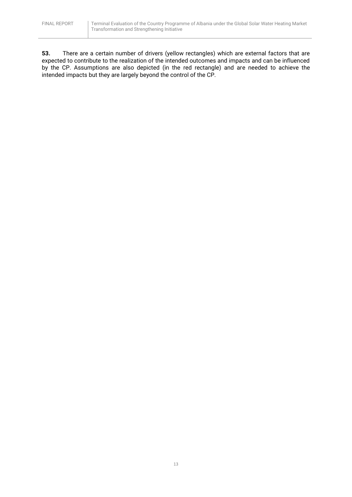**53.** There are a certain number of drivers (yellow rectangles) which are external factors that are expected to contribute to the realization of the intended outcomes and impacts and can be influenced by the CP. Assumptions are also depicted (in the red rectangle) and are needed to achieve the intended impacts but they are largely beyond the control of the CP.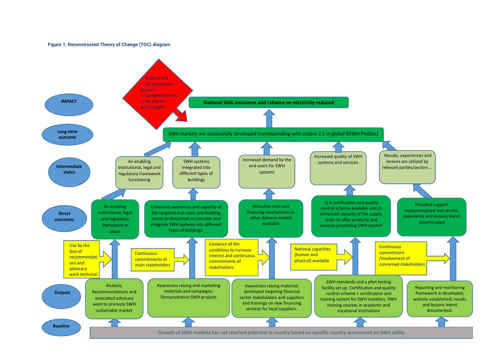#### **Figure 1: Reconstructed Theory of Change (TOC) diagram**

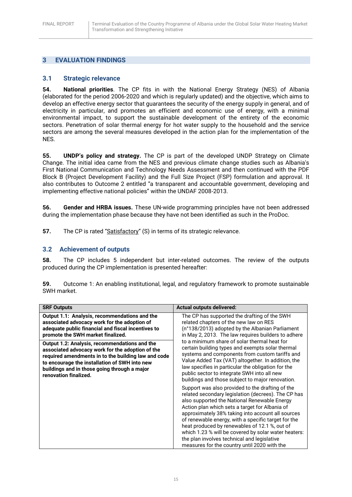## <span id="page-14-0"></span>**3 EVALUATION FINDINGS**

### <span id="page-14-1"></span>**3.1 Strategic relevance**

**54. National priorities**. The CP fits in with the National Energy Strategy (NES) of Albania (elaborated for the period 2006-2020 and which is regularly updated) and the objective, which aims to develop an effective energy sector that guarantees the security of the energy supply in general, and of electricity in particular, and promotes an efficient and economic use of energy, with a minimal environmental impact, to support the sustainable development of the entirety of the economic sectors. Penetration of solar thermal energy for hot water supply to the household and the service sectors are among the several measures developed in the action plan for the implementation of the NES.

**55. UNDP's policy and strategy.** The CP is part of the developed UNDP Strategy on Climate Change. The initial idea came from the NES and previous climate change studies such as Albania's First National Communication and Technology Needs Assessment and then continued with the PDF Block B (Project Development Facility) and the Full Size Project (FSP) formulation and approval. It also contributes to Outcome 2 entitled "a transparent and accountable government, developing and implementing effective national policies" within the UNDAF 2008-2013.

**56. Gender and HRBA issues.** These UN-wide programming principles have not been addressed during the implementation phase because they have not been identified as such in the ProDoc.

**57.** The CP is rated "Satisfactory" (S) in terms of its strategic relevance.

#### <span id="page-14-2"></span>**3.2 Achievement of outputs**

**58.** The CP includes 5 independent but inter-related outcomes. The review of the outputs produced during the CP implementation is presented hereafter:

| 59. | Outcome 1: An enabling institutional, legal, and regulatory framework to promote sustainable |  |  |  |
|-----|----------------------------------------------------------------------------------------------|--|--|--|
|     | SWH market.                                                                                  |  |  |  |

| <b>SRF Outputs</b>                                                                                                                                                                                                                                                                        | <b>Actual outputs delivered:</b>                                                                                                                                                                                                                                                                                                                                                                                                                                                                                                                                                                                                                                                                                                                                                                                                                                                                   |  |
|-------------------------------------------------------------------------------------------------------------------------------------------------------------------------------------------------------------------------------------------------------------------------------------------|----------------------------------------------------------------------------------------------------------------------------------------------------------------------------------------------------------------------------------------------------------------------------------------------------------------------------------------------------------------------------------------------------------------------------------------------------------------------------------------------------------------------------------------------------------------------------------------------------------------------------------------------------------------------------------------------------------------------------------------------------------------------------------------------------------------------------------------------------------------------------------------------------|--|
| Output 1.1: Analysis, recommendations and the<br>associated advocacy work for the adoption of<br>adequate public financial and fiscal incentives to<br>promote the SWH market finalized.                                                                                                  | The CP has supported the drafting of the SWH<br>related chapters of the new law on RES<br>(n°138/2013) adopted by the Albanian Parliament<br>in May 2, 2013. The law requires builders to adhere                                                                                                                                                                                                                                                                                                                                                                                                                                                                                                                                                                                                                                                                                                   |  |
| <b>Output 1.2: Analysis, recommendations and the</b><br>associated advocacy work for the adoption of the<br>required amendments in to the building law and code<br>to encourage the installation of SWH into new<br>buildings and in those going through a major<br>renovation finalized. | to a minimum share of solar thermal heat for<br>certain building types and exempts solar thermal<br>systems and components from custom tariffs and<br>Value Added Tax (VAT) altogether. In addition, the<br>law specifies in particular the obligation for the<br>public sector to integrate SWH into all new<br>buildings and those subject to major renovation.<br>Support was also provided to the drafting of the<br>related secondary legislation (decrees). The CP has<br>also supported the National Renewable Energy<br>Action plan which sets a target for Albania of<br>approximately 38% taking into account all sources<br>of renewable energy, with a specific target for the<br>heat produced by renewables of 12.1 %, out of<br>which 1.23 % will be covered by solar water heaters:<br>the plan involves technical and legislative<br>measures for the country until 2020 with the |  |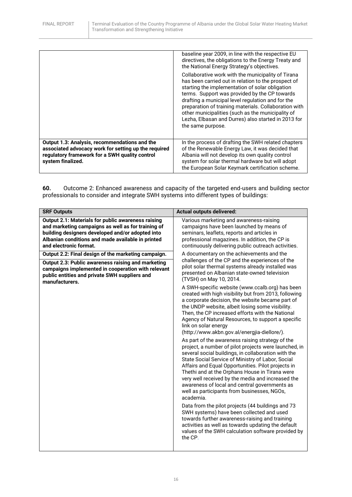|                                                                                                                                                                              | baseline year 2009, in line with the respective EU<br>directives, the obligations to the Energy Treaty and<br>the National Energy Strategy's objectives.                                                                                                                                                                                                                                                                                                     |
|------------------------------------------------------------------------------------------------------------------------------------------------------------------------------|--------------------------------------------------------------------------------------------------------------------------------------------------------------------------------------------------------------------------------------------------------------------------------------------------------------------------------------------------------------------------------------------------------------------------------------------------------------|
|                                                                                                                                                                              | Collaborative work with the municipality of Tirana<br>has been carried out in relation to the prospect of<br>starting the implementation of solar obligation<br>terms. Support was provided by the CP towards<br>drafting a municipal level regulation and for the<br>preparation of training materials. Collaboration with<br>other municipalities (such as the municipality of<br>Lezha, Elbasan and Durres) also started in 2013 for<br>the same purpose. |
| Output 1.3: Analysis, recommendations and the<br>associated advocacy work for setting up the required<br>regulatory framework for a SWH quality control<br>system finalized. | In the process of drafting the SWH related chapters<br>of the Renewable Energy Law, it was decided that<br>Albania will not develop its own quality control<br>system for solar thermal hardware but will adopt<br>the European Solar Keymark certification scheme.                                                                                                                                                                                          |

**60.** Outcome 2: Enhanced awareness and capacity of the targeted end-users and building sector professionals to consider and integrate SWH systems into different types of buildings:

| <b>SRF Outputs</b>                                                                                                                                                                                                                          | <b>Actual outputs delivered:</b>                                                                                                                                                                                                                                                                                                                                                                                                                                                                                                                                                                                                                                                                                                                                                                                                                                                                                                                                                                                                                                                                                                                                                 |  |
|---------------------------------------------------------------------------------------------------------------------------------------------------------------------------------------------------------------------------------------------|----------------------------------------------------------------------------------------------------------------------------------------------------------------------------------------------------------------------------------------------------------------------------------------------------------------------------------------------------------------------------------------------------------------------------------------------------------------------------------------------------------------------------------------------------------------------------------------------------------------------------------------------------------------------------------------------------------------------------------------------------------------------------------------------------------------------------------------------------------------------------------------------------------------------------------------------------------------------------------------------------------------------------------------------------------------------------------------------------------------------------------------------------------------------------------|--|
| Output 2.1: Materials for public awareness raising<br>and marketing campaigns as well as for training of<br>building designers developed and/or adopted into<br>Albanian conditions and made available in printed<br>and electronic format. | Various marketing and awareness-raising<br>campaigns have been launched by means of<br>seminars, leaflets, reports and articles in<br>professional magazines. In addition, the CP is<br>continuously delivering public outreach activities.                                                                                                                                                                                                                                                                                                                                                                                                                                                                                                                                                                                                                                                                                                                                                                                                                                                                                                                                      |  |
| Output 2.2: Final design of the marketing campaign.                                                                                                                                                                                         | A documentary on the achievements and the                                                                                                                                                                                                                                                                                                                                                                                                                                                                                                                                                                                                                                                                                                                                                                                                                                                                                                                                                                                                                                                                                                                                        |  |
| Output 2.3: Public awareness raising and marketing<br>campaigns implemented in cooperation with relevant<br>public entities and private SWH suppliers and<br>manufacturers.                                                                 | challenges of the CP and the experiences of the<br>pilot solar thermal systems already installed was<br>presented on Albanian state-owned television<br>(TVSH) on May 10, 2014.                                                                                                                                                                                                                                                                                                                                                                                                                                                                                                                                                                                                                                                                                                                                                                                                                                                                                                                                                                                                  |  |
|                                                                                                                                                                                                                                             | A SWH-specific website (www.ccalb.org) has been<br>created with high visibility but from 2013, following<br>a corporate decision, the website became part of<br>the UNDP website, albeit losing some visibility.<br>Then, the CP increased efforts with the National<br>Agency of Natural Resources, to support a specific<br>link on solar energy<br>(http://www.akbn.gov.al/energjia-diellore/).<br>As part of the awareness raising strategy of the<br>project, a number of pilot projects were launched, in<br>several social buildings, in collaboration with the<br>State Social Service of Ministry of Labor, Social<br>Affairs and Equal Opportunities. Pilot projects in<br>Thethi and at the Orphans House in Tirana were<br>very well received by the media and increased the<br>awareness of local and central governments as<br>well as participants from businesses, NGOs,<br>academia.<br>Data from the pilot projects (44 buildings and 73<br>SWH systems) have been collected and used<br>towards further awareness-raising and training<br>activities as well as towards updating the default<br>values of the SWH calculation software provided by<br>the CP. |  |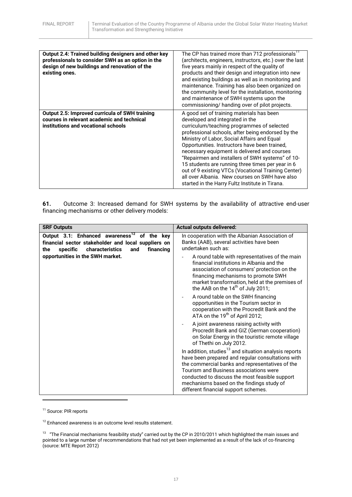| Output 2.4: Trained building designers and other key<br>professionals to consider SWH as an option in the<br>design of new buildings and renovation of the<br>existing ones. | The CP has trained more than 712 professionals''<br>(architects, engineers, instructors, etc.) over the last<br>five years mainly in respect of the quality of<br>products and their design and integration into new<br>and existing buildings as well as in monitoring and<br>maintenance. Training has also been organized on<br>the community level for the installation, monitoring<br>and maintenance of SWH systems upon the<br>commissioning/ handing over of pilot projects.                                                                                                                 |
|------------------------------------------------------------------------------------------------------------------------------------------------------------------------------|------------------------------------------------------------------------------------------------------------------------------------------------------------------------------------------------------------------------------------------------------------------------------------------------------------------------------------------------------------------------------------------------------------------------------------------------------------------------------------------------------------------------------------------------------------------------------------------------------|
| <b>Output 2.5: Improved curricula of SWH training</b><br>courses in relevant academic and technical<br>institutions and vocational schools                                   | A good set of training materials has been<br>developed and integrated in the<br>curriculum/teaching programmes of selected<br>professional schools, after being endorsed by the<br>Ministry of Labor, Social Affairs and Equal<br>Opportunities. Instructors have been trained,<br>necessary equipment is delivered and courses<br>"Repairmen and installers of SWH systems" of 10-<br>15 students are running three times per year in 6<br>out of 9 existing VTCs (Vocational Training Center)<br>all over Albania. New courses on SWH have also<br>started in the Harry Fultz Institute in Tirana. |

**61.** Outcome 3: Increased demand for SWH systems by the availability of attractive end-user financing mechanisms or other delivery models:

| <b>SRF Outputs</b>                                                                                                                                                       | <b>Actual outputs delivered:</b>                                                                                                                                                                                                                                                                                                                           |
|--------------------------------------------------------------------------------------------------------------------------------------------------------------------------|------------------------------------------------------------------------------------------------------------------------------------------------------------------------------------------------------------------------------------------------------------------------------------------------------------------------------------------------------------|
| Output 3.1: Enhanced awareness <sup>12</sup> of the key<br>financial sector stakeholder and local suppliers on<br>characteristics<br>specific<br>financing<br>the<br>and | In cooperation with the Albanian Association of<br>Banks (AAB), several activities have been<br>undertaken such as:                                                                                                                                                                                                                                        |
| opportunities in the SWH market.                                                                                                                                         | A round table with representatives of the main<br>financial institutions in Albania and the<br>association of consumers' protection on the<br>financing mechanisms to promote SWH<br>market transformation, held at the premises of<br>the AAB on the $14th$ of July 2011;                                                                                 |
|                                                                                                                                                                          | A round table on the SWH financing<br>opportunities in the Tourism sector in<br>cooperation with the Procredit Bank and the<br>ATA on the 19 <sup>th</sup> of April 2012;                                                                                                                                                                                  |
|                                                                                                                                                                          | A joint awareness raising activity with<br>Procredit Bank and GIZ (German cooperation)<br>on Solar Energy in the touristic remote village<br>of Thethi on July 2012.                                                                                                                                                                                       |
|                                                                                                                                                                          | In addition, studies <sup>13</sup> and situation analysis reports<br>have been prepared and regular consultations with<br>the commercial banks and representatives of the<br>Tourism and Business associations were<br>conducted to discuss the most feasible support<br>mechanisms based on the findings study of<br>different financial support schemes. |

<sup>11</sup> Source: PIR reports

1

 $12$  Enhanced awareness is an outcome level results statement.

 $13$  "The Financial mechanisms feasibility study" carried out by the CP in 2010/2011 which highlighted the main issues and pointed to a large number of recommendations that had not yet been implemented as a result of the lack of co-financing (source: MTE Report 2012)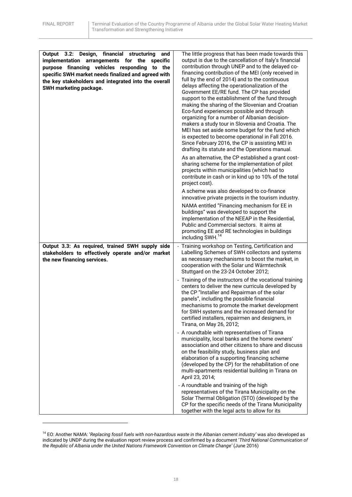**.** 

| Output 3.2: Design, financial structuring<br>and<br>implementation arrangements for the specific<br>purpose financing vehicles responding to the<br>specific SWH market needs finalized and agreed with<br>the key stakeholders and integrated into the overall<br>SWH marketing package. | The little progress that has been made towards this<br>output is due to the cancellation of Italy's financial<br>contribution through UNEP and to the delayed co-<br>financing contribution of the MEI (only received in<br>full by the end of 2014) and to the continuous<br>delays affecting the operationalization of the<br>Government EE/RE fund. The CP has provided<br>support to the establishment of the fund through<br>making the sharing of the Slovenian and Croatian<br>Eco-fund experiences possible and through<br>organizing for a number of Albanian decision-<br>makers a study tour in Slovenia and Croatia. The<br>MEI has set aside some budget for the fund which<br>is expected to become operational in Fall 2016.<br>Since February 2016, the CP is assisting MEI in<br>drafting its statute and the Operations manual.<br>As an alternative, the CP established a grant cost-<br>sharing scheme for the implementation of pilot<br>projects within municipalities (which had to<br>contribute in cash or in kind up to 10% of the total<br>project cost).<br>A scheme was also developed to co-finance<br>innovative private projects in the tourism industry.<br>NAMA entitled "Financing mechanism for EE in |
|-------------------------------------------------------------------------------------------------------------------------------------------------------------------------------------------------------------------------------------------------------------------------------------------|-------------------------------------------------------------------------------------------------------------------------------------------------------------------------------------------------------------------------------------------------------------------------------------------------------------------------------------------------------------------------------------------------------------------------------------------------------------------------------------------------------------------------------------------------------------------------------------------------------------------------------------------------------------------------------------------------------------------------------------------------------------------------------------------------------------------------------------------------------------------------------------------------------------------------------------------------------------------------------------------------------------------------------------------------------------------------------------------------------------------------------------------------------------------------------------------------------------------------------------------|
|                                                                                                                                                                                                                                                                                           | buildings" was developed to support the<br>implementation of the NEEAP in the Residential,<br>Public and Commercial sectors. It aims at<br>promoting EE and RE technologies in buildings<br>including SWH. <sup>14</sup>                                                                                                                                                                                                                                                                                                                                                                                                                                                                                                                                                                                                                                                                                                                                                                                                                                                                                                                                                                                                                  |
| Output 3.3: As required, trained SWH supply side<br>stakeholders to effectively operate and/or market<br>the new financing services.                                                                                                                                                      | Training workshop on Testing, Certification and<br>Labelling Schemes of SWH collectors and systems<br>as necessary mechanisms to boost the market, in<br>cooperation with the Solar und Wärmtechnik<br>Stuttgard on the 23-24 October 2012;                                                                                                                                                                                                                                                                                                                                                                                                                                                                                                                                                                                                                                                                                                                                                                                                                                                                                                                                                                                               |
|                                                                                                                                                                                                                                                                                           | - Training of the instructors of the vocational training<br>centers to deliver the new curricula developed by<br>the CP "Installer and Repairman of the solar<br>panels", including the possible financial<br>mechanisms to promote the market development<br>for SWH systems and the increased demand for<br>certified installers, repairmen and designers, in<br>Tirana, on May 26, 2012;                                                                                                                                                                                                                                                                                                                                                                                                                                                                                                                                                                                                                                                                                                                                                                                                                                               |
|                                                                                                                                                                                                                                                                                           | - A roundtable with representatives of Tirana<br>municipality, local banks and the home owners'<br>association and other citizens to share and discuss<br>on the feasibility study, business plan and<br>elaboration of a supporting financing scheme<br>(developed by the CP) for the rehabilitation of one<br>multi-apartments residential building in Tirana on<br>April 23, 2014;                                                                                                                                                                                                                                                                                                                                                                                                                                                                                                                                                                                                                                                                                                                                                                                                                                                     |
|                                                                                                                                                                                                                                                                                           | - A roundtable and training of the high<br>representatives of the Tirana Municipality on the<br>Solar Thermal Obligation (STO) (developed by the<br>CP for the specific needs of the Tirana Municipality<br>together with the legal acts to allow for its                                                                                                                                                                                                                                                                                                                                                                                                                                                                                                                                                                                                                                                                                                                                                                                                                                                                                                                                                                                 |

<sup>14</sup> EO: Another NAMA: '*Replacing fossil fuels with non-hazardous waste in the Albanian cement industry'* was also developed as indicated by UNDP during the evaluation report review process and confirmed by a document '*Third National Communication of the Republic of Albania under the United Nations Framework Convention on Climate Change'* (June 2016)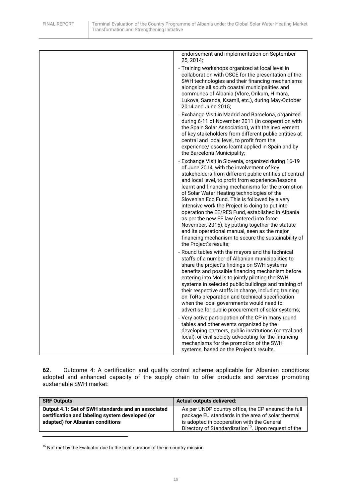| endorsement and implementation on September<br>25, 2014;                                                                                                                                                                                                                                                                                                                                                                                                                                                                                                                                                                                                                                                          |
|-------------------------------------------------------------------------------------------------------------------------------------------------------------------------------------------------------------------------------------------------------------------------------------------------------------------------------------------------------------------------------------------------------------------------------------------------------------------------------------------------------------------------------------------------------------------------------------------------------------------------------------------------------------------------------------------------------------------|
| - Training workshops organized at local level in<br>collaboration with OSCE for the presentation of the<br>SWH technologies and their financing mechanisms<br>alongside all south coastal municipalities and<br>communes of Albania (Vlore, Orikum, Himara,<br>Lukova, Saranda, Ksamil, etc.), during May-October<br>2014 and June 2015;                                                                                                                                                                                                                                                                                                                                                                          |
| - Exchange Visit in Madrid and Barcelona, organized<br>during 6-11 of November 2011 (in cooperation with<br>the Spain Solar Association), with the involvement<br>of key stakeholders from different public entities at<br>central and local level, to profit from the<br>experience/lessons learnt applied in Spain and by<br>the Barcelona Municipality;                                                                                                                                                                                                                                                                                                                                                        |
| - Exchange Visit in Slovenia, organized during 16-19<br>of June 2014, with the involvement of key<br>stakeholders from different public entities at central<br>and local level, to profit from experience/lessons<br>learnt and financing mechanisms for the promotion<br>of Solar Water Heating technologies of the<br>Slovenian Eco Fund. This is followed by a very<br>intensive work the Project is doing to put into<br>operation the EE/RES Fund, established in Albania<br>as per the new EE law (entered into force<br>November, 2015), by putting together the statute<br>and its operational manual, seen as the major<br>financing mechanism to secure the sustainability of<br>the Project's results; |
| - Round tables with the mayors and the technical<br>staffs of a number of Albanian municipalities to<br>share the project's findings on SWH systems<br>benefits and possible financing mechanism before<br>entering into MoUs to jointly piloting the SWH<br>systems in selected public buildings and training of<br>their respective staffs in charge, including training<br>on ToRs preparation and technical specification<br>when the local governments would need to<br>advertise for public procurement of solar systems;                                                                                                                                                                                   |
| - Very active participation of the CP in many round<br>tables and other events organized by the<br>developing partners, public institutions (central and<br>local), or civil society advocating for the financing<br>mechanisms for the promotion of the SWH<br>systems, based on the Project's results.                                                                                                                                                                                                                                                                                                                                                                                                          |

**62.** Outcome 4: A certification and quality control scheme applicable for Albanian conditions adopted and enhanced capacity of the supply chain to offer products and services promoting sustainable SWH market:

| <b>SRF Outputs</b>                                                                                                                        | <b>Actual outputs delivered:</b>                                                                                                                       |
|-------------------------------------------------------------------------------------------------------------------------------------------|--------------------------------------------------------------------------------------------------------------------------------------------------------|
| Output 4.1: Set of SWH standards and an associated<br>certification and labeling system developed (or<br>adapted) for Albanian conditions | As per UNDP country office, the CP ensured the full<br>package EU standards in the area of solar thermal<br>is adopted in cooperation with the General |
|                                                                                                                                           | Directory of Standardization <sup>15</sup> . Upon request of the                                                                                       |

 $15$  Not met by the Evaluator due to the tight duration of the in-country mission

 $\overline{\phantom{a}}$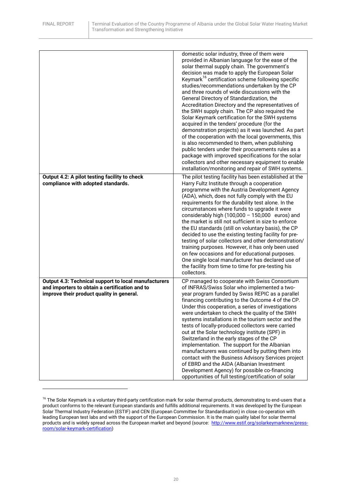**.** 

|                                                                                                                                                     | domestic solar industry, three of them were<br>provided in Albanian language for the ease of the<br>solar thermal supply chain. The government's<br>decision was made to apply the European Solar<br>Keymark <sup>16</sup> certification scheme following specific<br>studies/recommendations undertaken by the CP<br>and three rounds of wide discussions with the<br>General Directory of Standardization, the<br>Accreditation Directory and the representatives of<br>the SWH supply chain. The CP also required the<br>Solar Keymark certification for the SWH systems<br>acquired in the tenders' procedure (for the<br>demonstration projects) as it was launched. As part<br>of the cooperation with the local governments, this<br>is also recommended to them, when publishing<br>public tenders under their procurements rules as a<br>package with improved specifications for the solar<br>collectors and other necessary equipment to enable<br>installation/monitoring and repair of SWH systems. |
|-----------------------------------------------------------------------------------------------------------------------------------------------------|------------------------------------------------------------------------------------------------------------------------------------------------------------------------------------------------------------------------------------------------------------------------------------------------------------------------------------------------------------------------------------------------------------------------------------------------------------------------------------------------------------------------------------------------------------------------------------------------------------------------------------------------------------------------------------------------------------------------------------------------------------------------------------------------------------------------------------------------------------------------------------------------------------------------------------------------------------------------------------------------------------------|
| Output 4.2: A pilot testing facility to check<br>compliance with adopted standards.                                                                 | The pilot testing facility has been established at the<br>Harry Fultz Institute through a cooperation<br>programme with the Austria Development Agency<br>(ADA), which, does not fully comply with the EU<br>requirements for the durability test alone. In the<br>circumstances where funds to upgrade it were<br>considerably high $(100,000 - 150,000$ euros) and<br>the market is still not sufficient in size to enforce<br>the EU standards (still on voluntary basis), the CP<br>decided to use the existing testing facility for pre-<br>testing of solar collectors and other demonstration/<br>training purposes. However, it has only been used<br>on few occasions and for educational purposes.<br>One single local manufacturer has declared use of<br>the facility from time to time for pre-testing his<br>collectors.                                                                                                                                                                           |
| Output 4.3: Technical support to local manufacturers<br>and importers to obtain a certification and to<br>improve their product quality in general. | CP managed to cooperate with Swiss Consortium<br>of INFRAS/Swiss Solar who implemented a two-<br>year program funded by Swiss REPIC as a parallel<br>financing contributing to the Outcome 4 of the CP.<br>Under this cooperation, a series of investigations<br>were undertaken to check the quality of the SWH<br>systems installations in the tourism sector and the<br>tests of locally-produced collectors were carried<br>out at the Solar technology institute (SPF) in<br>Switzerland in the early stages of the CP<br>implementation. The support for the Albanian<br>manufacturers was continued by putting them into<br>contact with the Business Advisory Services project<br>of EBRD and the AIDA (Albanian Investment<br>Development Agency) for possible co-financing<br>opportunities of full testing/certification of solar                                                                                                                                                                     |

<sup>&</sup>lt;sup>16</sup> The Solar Keymark is a voluntary third-party certification mark for solar thermal products, demonstrating to end-users that a product conforms to the relevant European standards and fulfills additional requirements. It was developed by the European Solar Thermal Industry Federation (ESTIF) and CEN (European Committee for Standardisation) in close co-operation with leading European test labs and with the support of the European Commission. It is the main quality label for solar thermal products and is widely spread across the European market and beyond (source: [http://www.estif.org/solarkeymarknew/press](http://www.estif.org/solarkeymarknew/press-room/solar-keymark-certification)[room/solar-keymark-certification\)](http://www.estif.org/solarkeymarknew/press-room/solar-keymark-certification)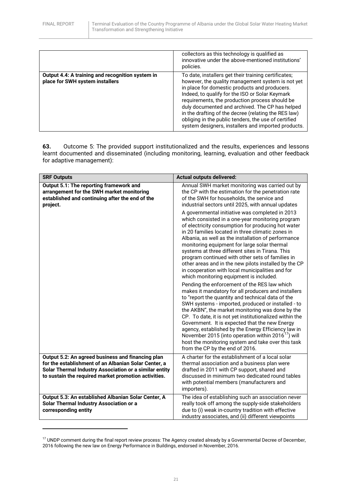1

|                                                                                     | collectors as this technology is qualified as<br>innovative under the above-mentioned institutions'<br>policies.                                                                                                                                                                                                                                                                                                                                                                          |
|-------------------------------------------------------------------------------------|-------------------------------------------------------------------------------------------------------------------------------------------------------------------------------------------------------------------------------------------------------------------------------------------------------------------------------------------------------------------------------------------------------------------------------------------------------------------------------------------|
| Output 4.4: A training and recognition system in<br>place for SWH system installers | To date, installers get their training certificates;<br>however, the quality management system is not yet<br>in place for domestic products and producers.<br>Indeed, to qualify for the ISO or Solar Keymark<br>requirements, the production process should be<br>duly documented and archived. The CP has helped<br>in the drafting of the decree (relating the RES law)<br>obliging in the public tenders, the use of certified<br>system designers, installers and imported products. |

**63.** Outcome 5: The provided support institutionalized and the results, experiences and lessons learnt documented and disseminated (including monitoring, learning, evaluation and other feedback for adaptive management):

| <b>SRF Outputs</b>                                                                                                                                  | <b>Actual outputs delivered:</b>                                                                                                                                                                                                                                                                                                                                                                                                                                                                                                                                                                 |
|-----------------------------------------------------------------------------------------------------------------------------------------------------|--------------------------------------------------------------------------------------------------------------------------------------------------------------------------------------------------------------------------------------------------------------------------------------------------------------------------------------------------------------------------------------------------------------------------------------------------------------------------------------------------------------------------------------------------------------------------------------------------|
| Output 5.1: The reporting framework and<br>arrangement for the SWH market monitoring<br>established and continuing after the end of the<br>project. | Annual SWH market monitoring was carried out by<br>the CP with the estimation for the penetration rate<br>of the SWH for households, the service and<br>industrial sectors until 2025, with annual updates                                                                                                                                                                                                                                                                                                                                                                                       |
|                                                                                                                                                     | A governmental initiative was completed in 2013<br>which consisted in a one-year monitoring program<br>of electricity consumption for producing hot water<br>in 20 families located in three climatic zones in<br>Albania, as well as the installation of performance<br>monitoring equipment for large solar thermal<br>systems at three different sites in Tirana. This<br>program continued with other sets of families in<br>other areas and in the new pilots installed by the CP<br>in cooperation with local municipalities and for<br>which monitoring equipment is included.            |
|                                                                                                                                                     | Pending the enforcement of the RES law which<br>makes it mandatory for all producers and installers<br>to "report the quantity and technical data of the<br>SWH systems - imported, produced or installed - to<br>the AKBN", the market monitoring was done by the<br>CP. To date, it is not yet institutionalized within the<br>Government. It is expected that the new Energy<br>agency, established by the Energy Efficiency law in<br>November 2015 (into operation within 2016 <sup>1</sup> ) will<br>host the monitoring system and take over this task<br>from the CP by the end of 2016. |
| Output 5.2: An agreed business and financing plan                                                                                                   | A charter for the establishment of a local solar                                                                                                                                                                                                                                                                                                                                                                                                                                                                                                                                                 |
| for the establishment of an Albanian Solar Center, a<br>Solar Thermal Industry Association or a similar entity                                      | thermal association and a business plan were<br>drafted in 2011 with CP support, shared and                                                                                                                                                                                                                                                                                                                                                                                                                                                                                                      |
| to sustain the required market promotion activities.                                                                                                | discussed in minimum two dedicated round tables<br>with potential members (manufacturers and<br>importers).                                                                                                                                                                                                                                                                                                                                                                                                                                                                                      |
| Output 5.3: An established Albanian Solar Center, A<br>Solar Thermal Industry Association or a<br>corresponding entity                              | The idea of establishing such an association never<br>really took off among the supply-side stakeholders<br>due to (i) weak in-country tradition with effective<br>industry associates, and (ii) different viewpoints                                                                                                                                                                                                                                                                                                                                                                            |

<sup>&</sup>lt;sup>17</sup> UNDP comment during the final report review process: The Agency created already by a Governmental Decree of December, 2016 following the new law on Energy Performance in Buildings, endorsed in November, 2016.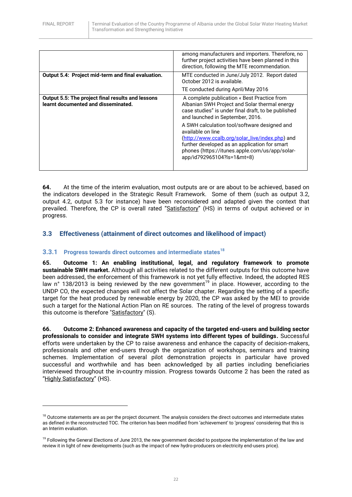**.** 

|                                                                                                 | among manufacturers and importers. Therefore, no<br>further project activities have been planned in this<br>direction, following the MTE recommendation.                                                                                                                                                                                                                                                                                         |
|-------------------------------------------------------------------------------------------------|--------------------------------------------------------------------------------------------------------------------------------------------------------------------------------------------------------------------------------------------------------------------------------------------------------------------------------------------------------------------------------------------------------------------------------------------------|
| Output 5.4: Project mid-term and final evaluation.                                              | MTE conducted in June/July 2012. Report dated<br>October 2012 is available.                                                                                                                                                                                                                                                                                                                                                                      |
|                                                                                                 | TE conducted during April/May 2016                                                                                                                                                                                                                                                                                                                                                                                                               |
| <b>Output 5.5: The project final results and lessons</b><br>learnt documented and disseminated. | A complete publication « Best Practice from<br>Albanian SWH Project and Solar thermal energy<br>case studies" is under final draft, to be published<br>and launched in September, 2016.<br>A SWH calculation tool/software designed and<br>available on line<br>(http://www.ccalb.org/solar_live/index.php) and<br>further developed as an application for smart<br>phones (https://itunes.apple.com/us/app/solar-<br>app/id792965104?ls=1&mt=8) |

**64.** At the time of the interim evaluation, most outputs are or are about to be achieved, based on the indicators developed in the Strategic Result Framework. Some of them (such as output 3.2, output 4.2, output 5.3 for instance) have been reconsidered and adapted given the context that prevailed. Therefore, the CP is overall rated "Satisfactory" (HS) in terms of output achieved or in progress.

## <span id="page-21-0"></span>**3.3 Effectiveness (attainment of direct outcomes and likelihood of impact)**

## <span id="page-21-1"></span>**3.3.1 Progress towards direct outcomes and intermediate states<sup>18</sup>**

**65. Outcome 1: An enabling institutional, legal, and regulatory framework to promote sustainable SWH market.** Although all activities related to the different outputs for this outcome have been addressed, the enforcement of this framework is not yet fully effective. Indeed, the adopted RES law n° 138/2013 is being reviewed by the new government<sup>19</sup> in place. However, according to the UNDP CO, the expected changes will not affect the Solar chapter. Regarding the setting of a specific target for the heat produced by renewable energy by 2020, the CP was asked by the MEI to provide such a target for the National Action Plan on RE sources. The rating of the level of progress towards this outcome is therefore "Satisfactory" (S).

**66. Outcome 2: Enhanced awareness and capacity of the targeted end-users and building sector professionals to consider and integrate SWH systems into different types of buildings.** Successful efforts were undertaken by the CP to raise awareness and enhance the capacity of decision-makers, professionals and other end-users through the organization of workshops, seminars and training schemes. Implementation of several pilot demonstration projects in particular have proved successful and worthwhile and has been acknowledged by all parties including beneficiaries interviewed throughout the in-country mission. Progress towards Outcome 2 has been the rated as "Highly Satisfactory" (HS).

<sup>&</sup>lt;sup>18</sup> Outcome statements are as per the project document. The analysis considers the direct outcomes and intermediate states as defined in the reconstructed TOC. The criterion has been modified from 'achievement' to 'progress' considering that this is an Interim evaluation.

<sup>&</sup>lt;sup>19</sup> Following the General Elections of June 2013, the new government decided to postpone the implementation of the law and review it in light of new developments (such as the impact of new hydro-producers on electricity end-users price).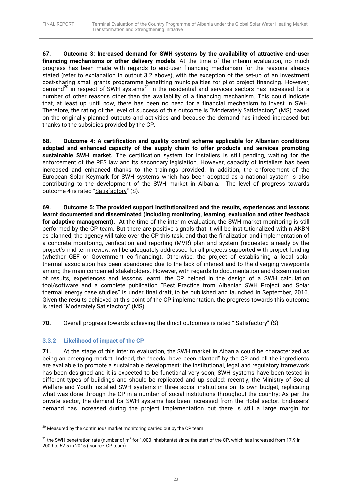**67. Outcome 3: Increased demand for SWH systems by the availability of attractive end-user financing mechanisms or other delivery models.** At the time of the interim evaluation, no much progress has been made with regards to end-user financing mechanism for the reasons already stated (refer to explanation in output 3.2 above), with the exception of the set-up of an investment cost-sharing small grants programme benefiting municipalities for pilot project financing. However, demand<sup>20</sup> in respect of SWH systems<sup>21</sup> in the residential and services sectors has increased for a number of other reasons other than the availability of a financing mechanism. This could indicate that, at least up until now, there has been no need for a financial mechanism to invest in SWH. Therefore, the rating of the level of success of this outcome is "Moderately Satisfactory" (MS) based on the originally planned outputs and activities and because the demand has indeed increased but thanks to the subsidies provided by the CP.

**68. Outcome 4: A certification and quality control scheme applicable for Albanian conditions adopted and enhanced capacity of the supply chain to offer products and services promoting sustainable SWH market.** The certification system for installers is still pending, waiting for the enforcement of the RES law and its secondary legislation. However, capacity of installers has been increased and enhanced thanks to the trainings provided. In addition, the enforcement of the European Solar Keymark for SWH systems which has been adopted as a national system is also contributing to the development of the SWH market in Albania. The level of progress towards outcome 4 is rated "Satisfactory" (S).

**69. Outcome 5: The provided support institutionalized and the results, experiences and lessons learnt documented and disseminated (including monitoring, learning, evaluation and other feedback for adaptive management).** At the time of the interim evaluation, the SWH market monitoring is still performed by the CP team. But there are positive signals that it will be institutionalized within AKBN as planned; the agency will take over the CP this task, and that the finalization and implementation of a concrete monitoring, verification and reporting (MVR) plan and system (requested already by the project's mid-term review, will be adequately addressed for all projects supported with project funding (whether GEF or Government co-financing). Otherwise, the project of establishing a local solar thermal association has been abandoned due to the lack of interest and to the diverging viewpoints among the main concerned stakeholders. However, with regards to documentation and dissemination of results, experiences and lessons learnt, the CP helped in the design of a SWH calculation tool/software and a complete publication "Best Practice from Albanian SWH Project and Solar thermal energy case studies" is under final draft, to be published and launched in September, 2016. Given the results achieved at this point of the CP implementation, the progress towards this outcome is rated "Moderately Satisfactory" (MS).

**70.** Overall progress towards achieving the direct outcomes is rated "Satisfactory" (S)

#### <span id="page-22-0"></span>**3.3.2 Likelihood of impact of the CP**

**.** 

**71.** At the stage of this interim evaluation, the SWH market in Albania could be characterized as being an emerging market. Indeed, the "seeds have been planted" by the CP and all the ingredients are available to promote a sustainable development: the institutional, legal and regulatory framework has been designed and it is expected to be functional very soon; SWH systems have been tested in different types of buildings and should be replicated and up scaled: recently, the Ministry of Social Welfare and Youth installed SWH systems in three social institutions on its own budget, replicating what was done through the CP in a number of social institutions throughout the country; As per the private sector, the demand for SWH systems has been increased from the Hotel sector. End-users' demand has increased during the project implementation but there is still a large margin for

 $20$  Measured by the continuous market monitoring carried out by the CP team

 $^{21}$  the SWH penetration rate (number of m $^2$  for 1,000 inhabitants) since the start of the CP, which has increased from 17.9 in 2009 to 62.5 in 2015 ( source: CP team)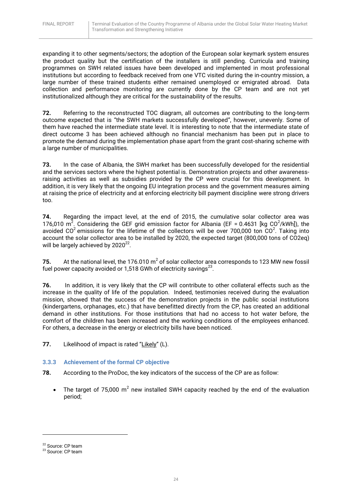expanding it to other segments/sectors; the adoption of the European solar keymark system ensures the product quality but the certification of the installers is still pending. Curricula and training programmes on SWH related issues have been developed and implemented in most professional institutions but according to feedback received from one VTC visited during the in-country mission, a large number of these trained students either remained unemployed or emigrated abroad. Data collection and performance monitoring are currently done by the CP team and are not yet institutionalized although they are critical for the sustainability of the results.

**72.** Referring to the reconstructed TOC diagram, all outcomes are contributing to the long-term outcome expected that is "the SWH markets successfully developed", however, unevenly. Some of them have reached the intermediate state level. It is interesting to note that the intermediate state of direct outcome 3 has been achieved although no financial mechanism has been put in place to promote the demand during the implementation phase apart from the grant cost-sharing scheme with a large number of municipalities.

**73.** In the case of Albania, the SWH market has been successfully developed for the residential and the services sectors where the highest potential is. Demonstration projects and other awarenessraising activities as well as subsidies provided by the CP were crucial for this development. In addition, it is very likely that the ongoing EU integration process and the government measures aiming at raising the price of electricity and at enforcing electricity bill payment discipline were strong drivers too.

**74.** Regarding the impact level, at the end of 2015, the cumulative solar collector area was 176,010 m<sup>2</sup>. Considering the GEF grid emission factor for Albania (EF = 0.4631 [kg CO<sup>2</sup>/kWh]), the avoided CO<sup>2</sup> emissions for the lifetime of the collectors will be over 700,000 ton CO<sup>2</sup>. Taking into account the solar collector area to be installed by 2020, the expected target (800,000 tons of CO2eq) will be largely achieved by 2020 $^{22}$ .

**75.** At the national level, the 176.010  $m^2$  of solar collector area corresponds to 123 MW new fossil fuel power capacity avoided or 1,518 GWh of electricity savings $^{23}$ .

**76.** In addition, it is very likely that the CP will contribute to other collateral effects such as the increase in the quality of life of the population. Indeed, testimonies received during the evaluation mission, showed that the success of the demonstration projects in the public social institutions (kindergartens, orphanages, etc.) that have benefitted directly from the CP, has created an additional demand in other institutions. For those institutions that had no access to hot water before, the comfort of the children has been increased and the working conditions of the employees enhanced. For others, a decrease in the energy or electricity bills have been noticed.

77. Likelihood of impact is rated "Likely" (L).

#### <span id="page-23-0"></span>**3.3.3 Achievement of the formal CP objective**

- **78.** According to the ProDoc, the key indicators of the success of the CP are as follow:
	- The target of 75,000  $m^2$  new installed SWH capacity reached by the end of the evaluation period;

1

<sup>&</sup>lt;sup>22</sup> Source: CP team

<sup>&</sup>lt;sup>23</sup> Source: CP team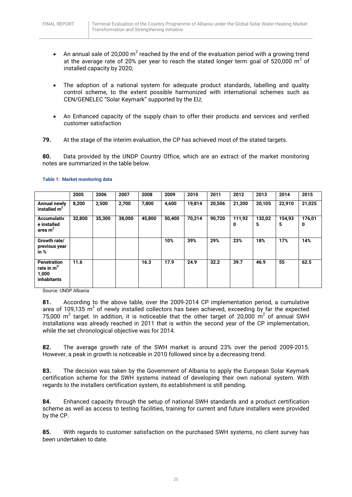- An annual sale of 20,000  $m^2$  reached by the end of the evaluation period with a growing trend at the average rate of 20% per year to reach the stated longer term goal of 520,000  $m^2$  of installed capacity by 2020;
- The adoption of a national system for adequate product standards, labelling and quality control scheme, to the extent possible harmonized with international schemes such as CEN/GENELEC "Solar Keymark" supported by the EU;
- An Enhanced capacity of the supply chain to offer their products and services and verified customer satisfaction
- **79.** At the stage of the interim evaluation, the CP has achieved most of the stated targets.

**80.** Data provided by the UNDP Country Office, which are an extract of the market monitoring notes are summarized in the table below.

|                                                                       | 2005   | 2006   | 2007   | 2008   | 2009   | 2010   | 2011   | 2012        | 2013        | 2014        | 2015        |
|-----------------------------------------------------------------------|--------|--------|--------|--------|--------|--------|--------|-------------|-------------|-------------|-------------|
| <b>Annual newly</b><br>installed $m2$                                 | 8,200  | 2,500  | 2,700  | 7,800  | 4,600  | 19,814 | 20,506 | 21,200      | 20,105      | 22,910      | 21,025      |
| <b>Accumulativ</b><br>e installed<br>area m <sup>2</sup>              | 32,800 | 35,300 | 38,000 | 45,800 | 50,400 | 70,214 | 90,720 | 111,92<br>0 | 132,02<br>5 | 154,93<br>5 | 176,01<br>0 |
| Growth rate/<br>previous year<br>in $%$                               |        |        |        |        | 10%    | 39%    | 29%    | 23%         | 18%         | 17%         | 14%         |
| <b>Penetration</b><br>rate in $m^{2/}$<br>1,000<br><i>inhabitants</i> | 11.6   |        |        | 16.3   | 17.9   | 24.9   | 32.2   | 39.7        | 46.9        | 55          | 62.5        |

#### **Table 1: Market monitoring data**

Source: UNDP Albania

**81.** According to the above table, over the 2009-2014 CP implementation period, a cumulative area of 109,135  $m^2$  of newly installed collectors has been achieved, exceeding by far the expected 75,000 m<sup>2</sup> target. In addition, it is noticeable that the other target of 20,000 m<sup>2</sup> of annual SWH installations was already reached in 2011 that is within the second year of the CP implementation, while the set chronological objective was for 2014.

**82.** The average growth rate of the SWH market is around 23% over the period 2009-2015. However, a peak in growth is noticeable in 2010 followed since by a decreasing trend.

**83.** The decision was taken by the Government of Albania to apply the European Solar Keymark certification scheme for the SWH systems instead of developing their own national system. With regards to the installers certification system, its establishment is still pending.

**84.** Enhanced capacity through the setup of national SWH standards and a product certification scheme as well as access to testing facilities, training for current and future installers were provided by the CP.

**85.** With regards to customer satisfaction on the purchased SWH systems, no client survey has been undertaken to date.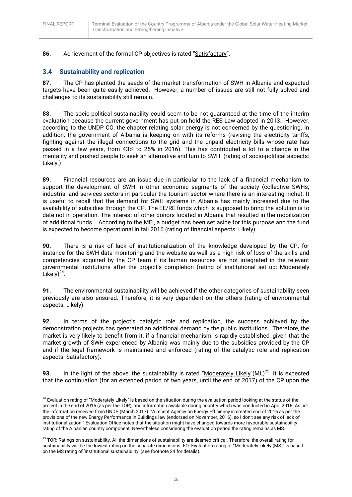**.** 

## **86.** Achievement of the formal CP objectives is rated "Satisfactory".

## <span id="page-25-0"></span>**3.4 Sustainability and replication**

**87.** The CP has planted the seeds of the market transformation of SWH in Albania and expected targets have been quite easily achieved. However, a number of issues are still not fully solved and challenges to its sustainability still remain.

**88.** The socio-political sustainability could seem to be not guaranteed at the time of the interim evaluation because the current government has put on hold the RES Law adopted in 2013. However, according to the UNDP CO, the chapter relating solar energy is not concerned by the questioning. In addition, the government of Albania is keeping on with its reforms (revising the electricity tariffs, fighting against the illegal connections to the grid and the unpaid electricity bills whose rate has passed in a few years, from 43% to 25% in 2016). This has contributed a lot to a change in the mentality and pushed people to seek an alternative and turn to SWH. (rating of socio-political aspects: Likely.)

**89.** Financial resources are an issue due in particular to the lack of a financial mechanism to support the development of SWH in other economic segments of the society (collective SWHs, industrial and services sectors in particular the tourism sector where there is an interesting niche). It is useful to recall that the demand for SWH systems in Albania has mainly increased due to the availability of subsidies through the CP. The EE/RE funds which is supposed to bring the solution is to date not in operation. The interest of other donors located in Albania that resulted in the mobilization of additional funds. According to the MEI, a budget has been set aside for this purpose and the fund is expected to become operational in fall 2016 (rating of financial aspects: Likely).

**90.** There is a risk of lack of institutionalization of the knowledge developed by the CP, for instance for the SWH data monitoring and the website as well as a high risk of loss of the skills and competencies acquired by the CP team if its human resources are not integrated in the relevant governmental institutions after the project's completion (rating of institutional set up: Moderately Likely $)^{24}$ .

**91.** The environmental sustainability will be achieved if the other categories of sustainability seen previously are also ensured. Therefore, it is very dependent on the others (rating of environmental aspects: Likely).

**92.** In terms of the project's catalytic role and replication, the success achieved by the demonstration projects has generated an additional demand by the public institutions. Therefore, the market is very likely to benefit from it, if a financial mechanism is rapidly established, given that the market growth of SWH experienced by Albania was mainly due to the subsidies provided by the CP and if the legal framework is maintained and enforced (rating of the catalytic role and replication aspects: Satisfactory).

93. In the light of the above, the sustainability is rated "Moderately Likely"(ML)<sup>25</sup>. It is expected that the continuation (for an extended period of two years, until the end of 2017) of the CP upon the

<sup>&</sup>lt;sup>24</sup> Evaluation rating of "Moderately Likely" is based on the situation during the evaluation period looking at the status of the project in the end of 2015 (as per the TOR), and information available during country which was conducted in April 2016. As per the information received from UNDP (March 2017): "A recent Agency on Energy Efficiency is created end of 2016 as per the provisions of the new Energy Performance in Buildings law (endorsed on November, 2016), so I don't see any risk of lack of institutionalization." Evaluation Office notes that the situation might have changed towards more favourable sustainability rating of the Albanian country component. Nevertheless considering the evaluation period the rating remains as MS.

<sup>&</sup>lt;sup>25</sup> TOR: Ratings on sustainability. All the dimensions of sustainability are deemed critical. Therefore, the overall rating for sustainability will be the lowest rating on the separate dimensions. EO: Evaluation rating of "Moderately Likely (MS)" is based on the MS rating of 'institutional sustainability' (see footnote 24 for details).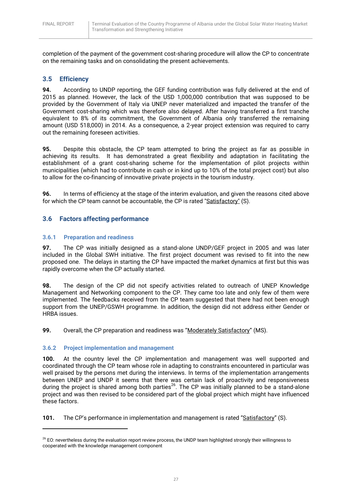completion of the payment of the government cost-sharing procedure will allow the CP to concentrate on the remaining tasks and on consolidating the present achievements.

## <span id="page-26-0"></span>**3.5 Efficiency**

**94.** According to UNDP reporting, the GEF funding contribution was fully delivered at the end of 2015 as planned. However, the lack of the USD 1,000,000 contribution that was supposed to be provided by the Government of Italy via UNEP never materialized and impacted the transfer of the Government cost-sharing which was therefore also delayed. After having transferred a first tranche equivalent to 8% of its commitment, the Government of Albania only transferred the remaining amount (USD 518,000) in 2014. As a consequence, a 2-year project extension was required to carry out the remaining foreseen activities.

**95.** Despite this obstacle, the CP team attempted to bring the project as far as possible in achieving its results. It has demonstrated a great flexibility and adaptation in facilitating the establishment of a grant cost-sharing scheme for the implementation of pilot projects within municipalities (which had to contribute in cash or in kind up to 10% of the total project cost) but also to allow for the co-financing of innovative private projects in the tourism industry.

**96.** In terms of efficiency at the stage of the interim evaluation, and given the reasons cited above for which the CP team cannot be accountable, the CP is rated "Satisfactory" (S).

## <span id="page-26-1"></span>**3.6 Factors affecting performance**

#### <span id="page-26-2"></span>**3.6.1 Preparation and readiness**

**97.** The CP was initially designed as a stand-alone UNDP/GEF project in 2005 and was later included in the Global SWH initiative. The first project document was revised to fit into the new proposed one. The delays in starting the CP have impacted the market dynamics at first but this was rapidly overcome when the CP actually started.

**98.** The design of the CP did not specify activities related to outreach of UNEP Knowledge Management and Networking component to the CP. They came too late and only few of them were implemented. The feedbacks received from the CP team suggested that there had not been enough support from the UNEP/GSWH programme. In addition, the design did not address either Gender or HRBA issues.

**99.** Overall, the CP preparation and readiness was "Moderately Satisfactory" (MS).

#### <span id="page-26-3"></span>**3.6.2 Project implementation and management**

1

**100.** At the country level the CP implementation and management was well supported and coordinated through the CP team whose role in adapting to constraints encountered in particular was well praised by the persons met during the interviews. In terms of the implementation arrangements between UNEP and UNDP it seems that there was certain lack of proactivity and responsiveness during the project is shared among both parties<sup>26</sup>. The CP was initially planned to be a stand-alone project and was then revised to be considered part of the global project which might have influenced these factors.

**101.** The CP's performance in implementation and management is rated "Satisfactory" (S).

<sup>&</sup>lt;sup>26</sup> EO: nevertheless during the evaluation report review process, the UNDP team highlighted strongly their willingness to cooperated with the knowledge management component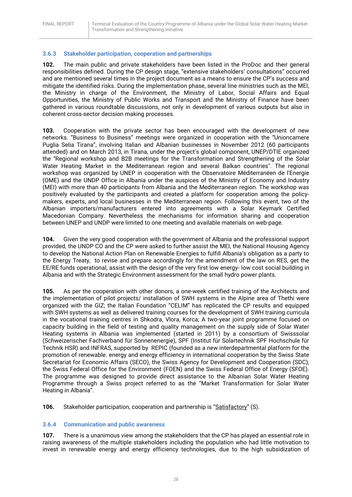#### <span id="page-27-0"></span>**3.6.3 Stakeholder participation, cooperation and partnerships**

**102.** The main public and private stakeholders have been listed in the ProDoc and their general responsibilities defined. During the CP design stage, "extensive stakeholders' consultations" occurred and are mentioned several times in the project document as a means to ensure the CP's success and mitigate the identified risks. During the implementation phase, several line ministries such as the MEI, the Ministry in charge of the Environment, the Ministry of Labor, Social Affairs and Equal Opportunities, the Ministry of Public Works and Transport and the Ministry of Finance have been gathered in various roundtable discussions, not only in development of various outputs but also in coherent cross-sector decision making processes.

**103.** Cooperation with the private sector has been encouraged with the development of new networks. "Business to Business" meetings were organized in cooperation with the "Unioncamere Puglia Selia Tirana", involving Italian and Albanian businesses in November 2012 (60 participants attended) and on March 2013, in Tirana, under the project's global component, UNEP/DTIE organized the "Regional workshop and B2B meetings for the Transformation and Strengthening of the Solar Water Heating Market in the Mediterranean region and several Balkan countries". The regional workshop was organized by UNEP in cooperation with the Observatoire Méditerranéen de l'Energie (OME) and the UNDP Office in Albania under the auspices of the Ministry of Economy and Industry (MEI) with more than 40 participants from Albania and the Mediterranean region. The workshop was positively evaluated by the participants and created a platform for cooperation among the policymakers, experts, and local businesses in the Mediterranean region. Following this event, two of the Albanian importers/manufacturers entered into agreements with a Solar Keymark Certified Macedonian Company. Nevertheless the mechanisms for information sharing and cooperation between UNEP and UNDP were limited to one meeting and available materials on web-page.

**104.** Given the very good cooperation with the government of Albania and the professional support provided, the UNDP CO and the CP were asked to further assist the MEI, the National Housing Agency to develop the National Action Plan on Renewable Energies to fulfill Albania's obligation as a party to the Energy Treaty, to revise and prepare accordingly for the amendment of the law on RES, get the EE/RE funds operational, assist with the design of the very first low energy- low cost social building in Albania and with the Strategic Environment assessment for the small hydro power plants.

**105.** As per the cooperation with other donors, a one-week certified training of the Architects and the implementation of pilot projects/ installation of SWH systems in the Alpine area of Thethi were organized with the GIZ; the Italian Foundation "CELIM" has replicated the CP results and equipped with SWH systems as well as delivered training courses for the development of SWH training curricula in the vocational training centres in Shkodra, Vlora, Korca; A two-year joint programme focused on capacity building in the field of testing and quality management on the supply side of Solar Water Heating systems in Albania was implemented (started in 2011) by a consortium of Swisssolar (Schweizerischer Fachverband für Sonnenenergie), SPF (Institut für Solartechnik SPF Hochschule für Technik HSR) and INFRAS, supported by REPIC (founded as a new interdepartmental platform for the promotion of renewable. energy and energy efficiency in international cooperation by the Swiss State Secretariat for Economic Affairs (SECO), the Swiss Agency for Development and Cooperation (SDC), the Swiss Federal Office for the Environment (FOEN) and the Swiss Federal Office of Energy (SFOE). The programme was designed to provide direct assistance to the Albanian Solar Water Heating Programme through a Swiss project referred to as the "Market Transformation for Solar Water Heating in Albania".

**106.** Stakeholder participation, cooperation and partnership is "Satisfactory" (S).

#### <span id="page-27-1"></span>**3.6.4 Communication and public awareness**

**107.** There is a unanimous view among the stakeholders that the CP has played an essential role in raising awareness of the multiple stakeholders including the population who had little motivation to invest in renewable energy and energy efficiency technologies, due to the high subsidization of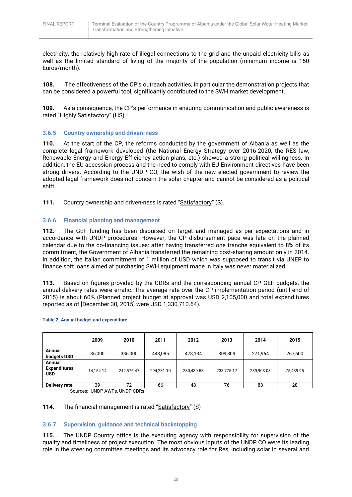electricity, the relatively high rate of illegal connections to the grid and the unpaid electricity bills as well as the limited standard of living of the majority of the population (minimum income is 150 Euros/month).

**108.** The effectiveness of the CP's outreach activities, in particular the demonstration projects that can be considered a powerful tool, significantly contributed to the SWH market development.

**109.** As a consequence, the CP's performance in ensuring communication and public awareness is rated "Highly Satisfactory" (HS).

#### <span id="page-28-0"></span>**3.6.5 Country ownership and driven-ness**

**110.** At the start of the CP, the reforms conducted by the government of Albania as well as the complete legal framework developed (the National Energy Strategy over 2016-2020, the RES law, Renewable Energy and Energy Efficiency action plans, etc.) showed a strong political willingness. In addition, the EU accession process and the need to comply with EU Environment directives have been strong drivers. According to the UNDP CO, the wish of the new elected government to review the adopted legal framework does not concern the solar chapter and cannot be considered as a political shift.

111. Country ownership and driven-ness is rated "Satisfactory" (S).

#### <span id="page-28-1"></span>**3.6.6 Financial planning and management**

**112.** The GEF funding has been disbursed on target and managed as per expectations and in accordance with UNDP procedures. However, the CP disbursement pace was late on the planned calendar due to the co-financing issues: after having transferred one tranche equivalent to 8% of its commitment, the Government of Albania transferred the remaining cost-sharing amount only in 2014. In addition, the Italian commitment of 1 million of USD which was supposed to transit via UNEP to finance soft loans aimed at purchasing SWH equipment made in Italy was never materialized.

**113.** Based on figures provided by the CDRs and the corresponding annual CP GEF budgets, the annual delivery rates were erratic. The average rate over the CP implementation period (until end of 2015) is about 60% (Planned project budget at approval was USD 2,105,000 and total expenditures reported as of [December 30, 2015] were USD 1,330,710.64).

|                                             | 2009      | 2010       | 2011       | 2012       | 2013       | 2014       | 2015      |
|---------------------------------------------|-----------|------------|------------|------------|------------|------------|-----------|
| Annual<br>budgets USD                       | 36,000    | 336,000    | 443,085    | 478,134    | 309,309    | 271,964    | 267,600   |
| Annual<br><b>Expenditures</b><br><b>USD</b> | 14,154.14 | 242,576.47 | 294,231.10 | 230,430.53 | 233,775.17 | 239,903.08 | 75,439.95 |
| Delivery rate                               | 39        | 72         | 66         | 48         | 76         | 88         | 28        |

#### **Table 2: Annual budget and expenditure**

Sources: UNDP AWPs, UNDP CDRs

#### 114. The financial management is rated "Satisfactory" (S)

#### <span id="page-28-2"></span>**3.6.7 Supervision, guidance and technical backstopping**

**115.** The UNDP Country office is the executing agency with responsibility for supervision of the quality and timeliness of project execution. The most obvious inputs of the UNDP CO were its leading role in the steering committee meetings and its advocacy role for Res, including solar in several and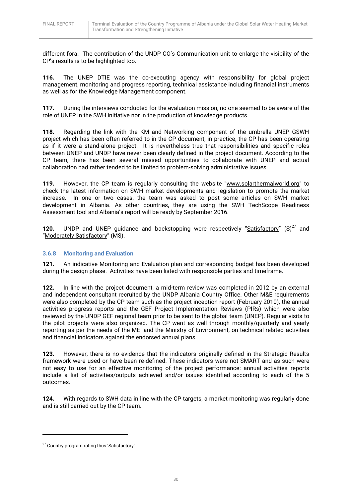different fora. The contribution of the UNDP CO's Communication unit to enlarge the visibility of the CP's results is to be highlighted too.

**116.** The UNEP DTIE was the co-executing agency with responsibility for global project management, monitoring and progress reporting, technical assistance including financial instruments as well as for the Knowledge Management component.

**117.** During the interviews conducted for the evaluation mission, no one seemed to be aware of the role of UNEP in the SWH initiative nor in the production of knowledge products.

**118.** Regarding the link with the KM and Networking component of the umbrella UNEP GSWH project which has been often referred to in the CP document, in practice, the CP has been operating as if it were a stand-alone project. It is nevertheless true that responsibilities and specific roles between UNEP and UNDP have never been clearly defined in the project document. According to the CP team, there has been several missed opportunities to collaborate with UNEP and actual collaboration had rather tended to be limited to problem-solving administrative issues.

**119.** However, the CP team is regularly consulting the website ["www.solarthermalworld.org"](http://www.solarthermalworld.org/) to check the latest information on SWH market developments and legislation to promote the market increase. In one or two cases, the team was asked to post some articles on SWH market development in Albania. As other countries, they are using the SWH TechScope Readiness Assessment tool and Albania's report will be ready by September 2016.

**120.** UNDP and UNEP guidance and backstopping were respectively "Satisfactory"  $(S)^{27}$  and "Moderately Satisfactory" (MS).

## <span id="page-29-0"></span>**3.6.8 Monitoring and Evaluation**

**121.** An indicative Monitoring and Evaluation plan and corresponding budget has been developed during the design phase. Activities have been listed with responsible parties and timeframe.

**122.** In line with the project document, a mid-term review was completed in 2012 by an external and independent consultant recruited by the UNDP Albania Country Office. Other M&E requirements were also completed by the CP team such as the project inception report (February 2010), the annual activities progress reports and the GEF Project Implementation Reviews (PIRs) which were also reviewed by the UNDP GEF regional team prior to be sent to the global team (UNEP). Regular visits to the pilot projects were also organized. The CP went as well through monthly/quarterly and yearly reporting as per the needs of the MEI and the Ministry of Environment, on technical related activities and financial indicators against the endorsed annual plans.

**123.** However, there is no evidence that the indicators originally defined in the Strategic Results framework were used or have been re-defined. These indicators were not SMART and as such were not easy to use for an effective monitoring of the project performance: annual activities reports include a list of activities/outputs achieved and/or issues identified according to each of the 5 outcomes.

**124.** With regards to SWH data in line with the CP targets, a market monitoring was regularly done and is still carried out by the CP team.

**.** 

<sup>&</sup>lt;sup>27</sup> Country program rating thus 'Satisfactory'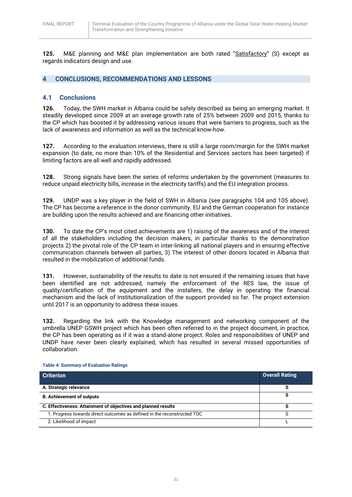**125.** M&E planning and M&E plan implementation are both rated "Satisfactory" (S) except as regards indicators design and use.

## <span id="page-30-0"></span>**4 CONCLUSIONS, RECOMMENDATIONS AND LESSONS**

### <span id="page-30-1"></span>**4.1 Conclusions**

**126.** Today, the SWH market in Albania could be safely described as being an emerging market. It steadily developed since 2009 at an average growth rate of 25% between 2009 and 2015, thanks to the CP which has boosted it by addressing various issues that were barriers to progress, such as the lack of awareness and information as well as the technical know-how.

**127.** According to the evaluation interviews, there is still a large room/margin for the SWH market expansion (to date, no more than 10% of the Residential and Services sectors has been targeted) if limiting factors are all well and rapidly addressed.

**128.** Strong signals have been the series of reforms undertaken by the government (measures to reduce unpaid electricity bills, increase in the electricity tariffs) and the EU integration process.

**129.** UNDP was a key player in the field of SWH in Albania (see paragraphs 104 and 105 above). The CP has become a reference in the donor community. EU and the German cooperation for instance are building upon the results achieved and are financing other initiatives.

**130.** To date the CP's most cited achievements are 1) raising of the awareness and of the interest of all the stakeholders including the decision makers, in particular thanks to the demonstration projects 2) the pivotal role of the CP team in inter-linking all national players and in ensuring effective communication channels between all parties, 3) The interest of other donors located in Albania that resulted in the mobilization of additional funds.

**131.** However, sustainability of the results to date is not ensured if the remaining issues that have been identified are not addressed, namely the enforcement of the RES law, the issue of quality/certification of the equipment and the installers, the delay in operating the financial mechanism and the lack of institutionalization of the support provided so far. The project extension until 2017 is an opportunity to address these issues.

**132.** Regarding the link with the Knowledge management and networking component of the umbrella UNEP GSWH project which has been often referred to in the project document, in practice, the CP has been operating as if it was a stand-alone project. Roles and responsibilities of UNEP and UNDP have never been clearly explained, which has resulted in several missed opportunities of collaboration.

**Criterion Overall Rating A. Strategic relevance S B. Achievement of outputs S C. Effectiveness: Attainment of objectives and planned results S** 1. Progress towards direct outcomes as defined in the reconstructed TOC S 2. Likelihood of impact L

**Table 4: Summary of Evaluation Ratings**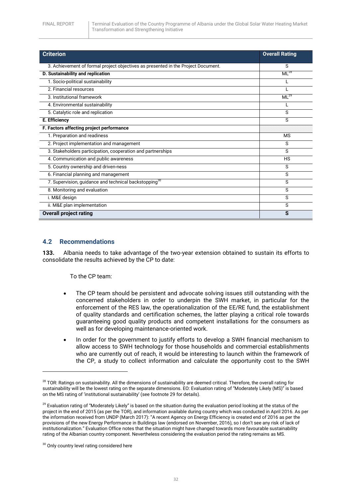| <b>Criterion</b>                                                                  | <b>Overall Rating</b> |
|-----------------------------------------------------------------------------------|-----------------------|
| 3. Achievement of formal project objectives as presented in the Project Document. | S                     |
| D. Sustainability and replication                                                 | $ML^{28}$             |
| 1. Socio-political sustainability                                                 |                       |
| 2. Financial resources                                                            |                       |
| 3. Institutional framework                                                        | $ML^{29}$             |
| 4. Environmental sustainability                                                   |                       |
| 5. Catalytic role and replication                                                 | S                     |
| E. Efficiency                                                                     | S                     |
| F. Factors affecting project performance                                          |                       |
| 1. Preparation and readiness                                                      | <b>MS</b>             |
| 2. Project implementation and management                                          | S                     |
| 3. Stakeholders participation, cooperation and partnerships                       | S                     |
| 4. Communication and public awareness                                             | HS                    |
| 5. Country ownership and driven-ness                                              | S                     |
| 6. Financial planning and management                                              | S                     |
| 7. Supervision, guidance and technical backstopping <sup>30</sup>                 | S                     |
| 8. Monitoring and evaluation                                                      | S                     |
| i. M&E design                                                                     | S                     |
| ii. M&E plan implementation                                                       | S                     |
| <b>Overall project rating</b>                                                     | S                     |

#### <span id="page-31-0"></span>**4.2 Recommendations**

**133.** Albania needs to take advantage of the two-year extension obtained to sustain its efforts to consolidate the results achieved by the CP to date:

To the CP team:

- The CP team should be persistent and advocate solving issues still outstanding with the concerned stakeholders in order to underpin the SWH market, in particular for the enforcement of the RES law, the operationalization of the EE/RE fund, the establishment of quality standards and certification schemes, the latter playing a critical role towards guaranteeing good quality products and competent installations for the consumers as well as for developing maintenance-oriented work.
- In order for the government to justify efforts to develop a SWH financial mechanism to allow access to SWH technology for those households and commercial establishments who are currently out of reach, it would be interesting to launch within the framework of the CP, a study to collect information and calculate the opportunity cost to the SWH

1

<sup>&</sup>lt;sup>28</sup> TOR: Ratings on sustainability. All the dimensions of sustainability are deemed critical. Therefore, the overall rating for sustainability will be the lowest rating on the separate dimensions. EO: Evaluation rating of "Moderately Likely (MS)" is based on the MS rating of 'institutional sustainability' (see footnote 29 for details).

 $29$  Evaluation rating of "Moderately Likely" is based on the situation during the evaluation period looking at the status of the project in the end of 2015 (as per the TOR), and information available during country which was conducted in April 2016. As per the information received from UNDP (March 2017): "A recent Agency on Energy Efficiency is created end of 2016 as per the provisions of the new Energy Performance in Buildings law (endorsed on November, 2016), so I don't see any risk of lack of institutionalization." Evaluation Office notes that the situation might have changed towards more favourable sustainability rating of the Albanian country component. Nevertheless considering the evaluation period the rating remains as MS.

<sup>&</sup>lt;sup>30</sup> Only country level rating considered here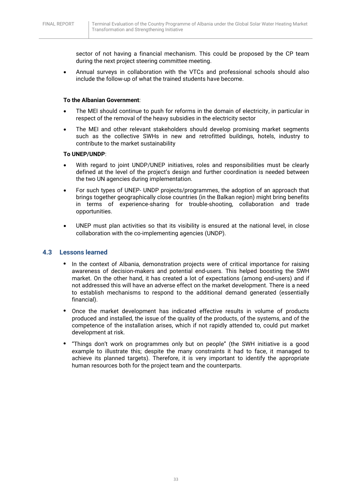sector of not having a financial mechanism. This could be proposed by the CP team during the next project steering committee meeting.

 Annual surveys in collaboration with the VTCs and professional schools should also include the follow-up of what the trained students have become.

#### **To the Albanian Government**:

- The MEI should continue to push for reforms in the domain of electricity, in particular in respect of the removal of the heavy subsidies in the electricity sector
- The MEI and other relevant stakeholders should develop promising market segments such as the collective SWHs in new and retrofitted buildings, hotels, industry to contribute to the market sustainability

#### **To UNEP/UNDP**:

- With regard to joint UNDP/UNEP initiatives, roles and responsibilities must be clearly defined at the level of the project's design and further coordination is needed between the two UN agencies during implementation.
- For such types of UNEP- UNDP projects/programmes, the adoption of an approach that brings together geographically close countries (in the Balkan region) might bring benefits in terms of experience-sharing for trouble-shooting, collaboration and trade opportunities.
- UNEP must plan activities so that its visibility is ensured at the national level, in close collaboration with the co-implementing agencies (UNDP).

#### <span id="page-32-0"></span>**4.3 Lessons learned**

- **•** In the context of Albania, demonstration projects were of critical importance for raising awareness of decision-makers and potential end-users. This helped boosting the SWH market. On the other hand, it has created a lot of expectations (among end-users) and if not addressed this will have an adverse effect on the market development. There is a need to establish mechanisms to respond to the additional demand generated (essentially financial).
- **•** Once the market development has indicated effective results in volume of products produced and installed, the issue of the quality of the products, of the systems, and of the competence of the installation arises, which if not rapidly attended to, could put market development at risk.
- **•** "Things don't work on programmes only but on people" (the SWH initiative is a good example to illustrate this; despite the many constraints it had to face, it managed to achieve its planned targets). Therefore, it is very important to identify the appropriate human resources both for the project team and the counterparts.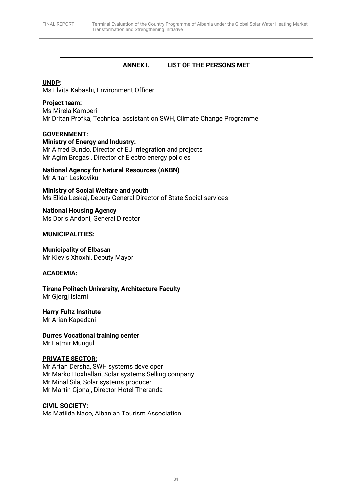## <span id="page-33-0"></span>**ANNEX I. LIST OF THE PERSONS MET**

#### **UNDP:**

Ms Elvita Kabashi, Environment Officer

#### **Project team:**

Ms Mirela Kamberi Mr Dritan Profka, Technical assistant on SWH, Climate Change Programme

## **GOVERNMENT:**

#### **Ministry of Energy and Industry:**

Mr Alfred Bundo, Director of EU integration and projects Mr Agim Bregasi, Director of Electro energy policies

**National Agency for Natural Resources (AKBN)** Mr Artan Leskoviku

**Ministry of Social Welfare and youth** Ms Elida Leskaj, Deputy General Director of State Social services

**National Housing Agency** Ms Doris Andoni, General Director

#### **MUNICIPALITIES:**

**Municipality of Elbasan** Mr Klevis Xhoxhi, Deputy Mayor

## **ACADEMIA:**

**Tirana Politech University, Architecture Faculty** Mr Gjergj Islami

**Harry Fultz Institute**

Mr Arian Kapedani

**Durres Vocational training center** Mr Fatmir Munguli

#### **PRIVATE SECTOR:**

Mr Artan Dersha, SWH systems developer Mr Marko Hoxhallari, Solar systems Selling company Mr Mihal Sila, Solar systems producer Mr Martin Gjonaj, Director Hotel Theranda

**CIVIL SOCIETY:**

Ms Matilda Naco, Albanian Tourism Association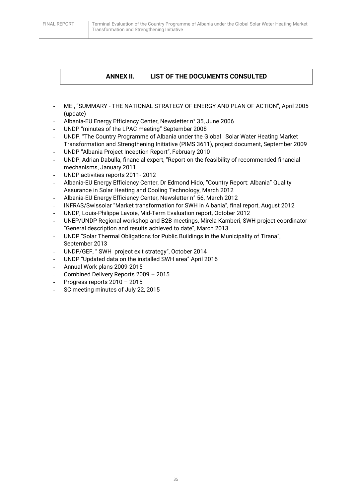## <span id="page-34-0"></span>**ANNEX II. LIST OF THE DOCUMENTS CONSULTED**

- MEI, "SUMMARY THE NATIONAL STRATEGY OF ENERGY AND PLAN OF ACTION", April 2005 (update)
- Albania-EU Energy Efficiency Center, Newsletter n° 35, June 2006
- UNDP "minutes of the LPAC meeting" September 2008
- UNDP, "The Country Programme of Albania under the Global Solar Water Heating Market Transformation and Strengthening Initiative (PIMS 3611), project document, September 2009
- UNDP "Albania Project Inception Report", February 2010
- UNDP, Adrian Dabulla, financial expert, "Report on the feasibility of recommended financial mechanisms, January 2011
- UNDP activities reports 2011-2012
- Albania-EU Energy Efficiency Center, Dr Edmond Hido, "Country Report: Albania" Quality Assurance in Solar Heating and Cooling Technology, March 2012
- Albania-EU Energy Efficiency Center, Newsletter n° 56, March 2012
- INFRAS/Swissolar "Market transformation for SWH in Albania", final report, August 2012
- UNDP, Louis-Philippe Lavoie, Mid-Term Evaluation report, October 2012
- UNEP/UNDP Regional workshop and B2B meetings, Mirela Kamberi, SWH project coordinator "General description and results achieved to date", March 2013
- UNDP "Solar Thermal Obligations for Public Buildings in the Municipality of Tirana", September 2013
- UNDP/GEF, " SWH project exit strategy", October 2014
- UNDP "Updated data on the installed SWH area" April 2016
- Annual Work plans 2009-2015
- Combined Delivery Reports 2009 2015
- Progress reports  $2010 2015$
- SC meeting minutes of July 22, 2015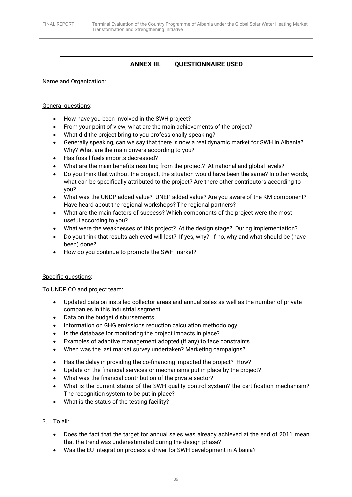## <span id="page-35-0"></span>**ANNEX III. QUESTIONNAIRE USED**

Name and Organization:

#### General questions:

- How have you been involved in the SWH project?
- From your point of view, what are the main achievements of the project?
- What did the project bring to you professionally speaking?
- Generally speaking, can we say that there is now a real dynamic market for SWH in Albania? Why? What are the main drivers according to you?
- Has fossil fuels imports decreased?
- What are the main benefits resulting from the project? At national and global levels?
- Do you think that without the project, the situation would have been the same? In other words, what can be specifically attributed to the project? Are there other contributors according to you?
- What was the UNDP added value? UNEP added value? Are you aware of the KM component? Have heard about the regional workshops? The regional partners?
- What are the main factors of success? Which components of the project were the most useful according to you?
- What were the weaknesses of this project? At the design stage? During implementation?
- Do you think that results achieved will last? If yes, why? If no, why and what should be (have been) done?
- How do you continue to promote the SWH market?

#### Specific questions:

To UNDP CO and project team:

- Updated data on installed collector areas and annual sales as well as the number of private companies in this industrial segment
- Data on the budget disbursements
- Information on GHG emissions reduction calculation methodology
- Is the database for monitoring the project impacts in place?
- Examples of adaptive management adopted (if any) to face constraints
- When was the last market survey undertaken? Marketing campaigns?
- Has the delay in providing the co-financing impacted the project? How?
- Update on the financial services or mechanisms put in place by the project?
- What was the financial contribution of the private sector?
- What is the current status of the SWH quality control system? the certification mechanism? The recognition system to be put in place?
- What is the status of the testing facility?
- 3. To all:
	- Does the fact that the target for annual sales was already achieved at the end of 2011 mean that the trend was underestimated during the design phase?
	- Was the EU integration process a driver for SWH development in Albania?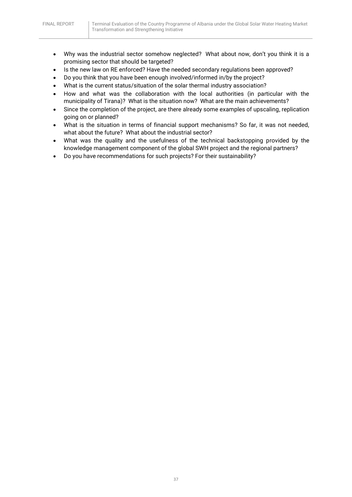- Why was the industrial sector somehow neglected? What about now, don't you think it is a promising sector that should be targeted?
- Is the new law on RE enforced? Have the needed secondary regulations been approved?
- Do you think that you have been enough involved/informed in/by the project?
- What is the current status/situation of the solar thermal industry association?
- How and what was the collaboration with the local authorities (in particular with the municipality of Tirana)? What is the situation now? What are the main achievements?
- Since the completion of the project, are there already some examples of upscaling, replication going on or planned?
- What is the situation in terms of financial support mechanisms? So far, it was not needed, what about the future? What about the industrial sector?
- What was the quality and the usefulness of the technical backstopping provided by the knowledge management component of the global SWH project and the regional partners?
- Do you have recommendations for such projects? For their sustainability?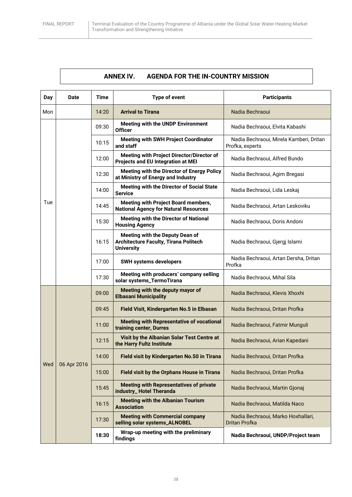## **ANNEX IV. AGENDA FOR THE IN-COUNTRY MISSION**

<span id="page-37-0"></span>

| <b>Day</b> | <b>Date</b> | <b>Time</b> | Type of event                                                                                        | <b>Participants</b>                                        |
|------------|-------------|-------------|------------------------------------------------------------------------------------------------------|------------------------------------------------------------|
| Mon        |             | 14:20       | <b>Arrival to Tirana</b>                                                                             | Nadia Bechraoui                                            |
|            |             | 09:30       | Meeting with the UNDP Environment<br><b>Officer</b>                                                  | Nadia Bechraoui, Elvita Kabashi                            |
|            |             | 10:15       | <b>Meeting with SWH Project Coordinator</b><br>and staff                                             | Nadia Bechraoui, Mirela Kamberi, Dritan<br>Profka, experts |
|            |             | 12:00       | Meeting with Project Director/Director of<br>Projects and EU Integration at MEI                      | Nadia Bechraoui, Alfred Bundo                              |
|            |             | 12:30       | Meeting with the Director of Energy Policy<br>at Ministry of Energy and Industry                     | Nadia Bechraoui, Agim Bregasi                              |
|            |             | 14:00       | Meeting with the Director of Social State<br><b>Service</b>                                          | Nadia Bechraoui, Lida Leskaj                               |
| Tue        |             | 14:45       | <b>Meeting with Project Board members,</b><br><b>National Agency for Natural Resources</b>           | Nadia Bechraoui, Artan Leskoviku                           |
|            |             | 15:30       | <b>Meeting with the Director of National</b><br><b>Housing Agency</b>                                | Nadia Bechraoui, Doris Andoni                              |
|            |             | 16:15       | Meeting with the Deputy Dean of<br><b>Architecture Faculty, Tirana Politech</b><br><b>University</b> | Nadia Bechraoui, Gjergj Islami                             |
|            |             | 17:00       | <b>SWH systems developers</b>                                                                        | Nadia Bechraoui, Artan Dersha, Dritan<br>Profka            |
|            |             | 17:30       | Meeting with producers' company selling<br>solar systems_TermoTirana                                 | Nadia Bechraoui, Mihal Sila                                |
|            |             | 09:00       | Meeting with the deputy mayor of<br><b>Elbasani Municipality</b>                                     | Nadia Bechraoui, Klevis Xhoxhi                             |
|            |             | 09:45       | Field Visit, Kindergarten No.5 in Elbasan                                                            | Nadia Bechraoui, Dritan Profka                             |
|            |             | 11:00       | <b>Meeting with Representative of vocational</b><br>training center, Durres                          | Nadia Bechraoui, Fatmir Munguli                            |
|            |             | 12:15       | Visit by the Albanian Solar Test Centre at<br>the Harry Fultz Institute                              | Nadia Bechraoui, Arian Kapedani                            |
| Wed        | 06 Apr 2016 | 14:00       | Field visit by Kindergarten No.50 in Tirana                                                          | Nadia Bechraoui, Dritan Profka                             |
|            |             | 15:00       | Field visit by the Orphans House in Tirana                                                           | Nadia Bechraoui, Dritan Profka                             |
|            |             | 15:45       | <b>Meeting with Representatives of private</b><br>industry_Hotel Theranda                            | Nadia Bechraoui, Martin Gjonaj                             |
|            |             | 16:15       | <b>Meeting with the Albanian Tourism</b><br><b>Association</b>                                       | Nadia Bechraoui, Matilda Naco                              |
|            |             | 17:30       | <b>Meeting with Commercial company</b><br>selling solar systems_ALNOBEL                              | Nadia Bechraoui, Marko Hoxhallari,<br>Dritan Profka        |
|            |             | 18:30       | Wrap-up meeting with the preliminary<br>findings                                                     | Nadia Bechraoui, UNDP/Project team                         |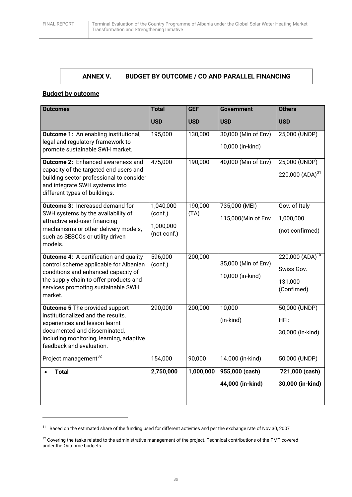## **ANNEX V. BUDGET BY OUTCOME / CO AND PARALLEL FINANCING**

## <span id="page-38-0"></span>**Budget by outcome**

**.** 

| <b>Outcomes</b>                                                                                                                                                                                                           | <b>Total</b>                                     | <b>GEF</b>      | <b>Government</b>                       | <b>Others</b>                                               |
|---------------------------------------------------------------------------------------------------------------------------------------------------------------------------------------------------------------------------|--------------------------------------------------|-----------------|-----------------------------------------|-------------------------------------------------------------|
|                                                                                                                                                                                                                           | <b>USD</b>                                       | <b>USD</b>      | <b>USD</b>                              | <b>USD</b>                                                  |
| <b>Outcome 1:</b> An enabling institutional,<br>legal and regulatory framework to<br>promote sustainable SWH market.                                                                                                      | 195,000                                          | 130,000         | 30,000 (Min of Env)<br>10,000 (in-kind) | 25,000 (UNDP)                                               |
| <b>Outcome 2: Enhanced awareness and</b><br>capacity of the targeted end users and<br>building sector professional to consider<br>and integrate SWH systems into<br>different types of buildings.                         | 475,000                                          | 190,000         | 40,000 (Min of Env)                     | 25,000 (UNDP)<br>220,000 $(ADA)^{31}$                       |
| <b>Outcome 3: Increased demand for</b><br>SWH systems by the availability of<br>attractive end-user financing<br>mechanisms or other delivery models,<br>such as SESCOs or utility driven<br>models.                      | 1,040,000<br>(conf.)<br>1,000,000<br>(not conf.) | 190,000<br>(TA) | 735,000 (MEI)<br>115,000(Min of Env     | Gov. of Italy<br>1,000,000<br>(not confirmed)               |
| <b>Outcome 4:</b> A certification and quality<br>control scheme applicable for Albanian<br>conditions and enhanced capacity of<br>the supply chain to offer products and<br>services promoting sustainable SWH<br>market. | 596,000<br>(conf.)                               | 200,000         | 35,000 (Min of Env)<br>10,000 (in-kind) | $220,000 (ADA)^{15}$<br>Swiss Gov.<br>131,000<br>(Confimed) |
| <b>Outcome 5</b> The provided support<br>institutionalized and the results,<br>experiences and lesson learnt<br>documented and disseminated,<br>including monitoring, learning, adaptive<br>feedback and evaluation.      | 290,000                                          | 200,000         | 10,000<br>(in-kind)                     | 50,000 (UNDP)<br>HFI:<br>30,000 (in-kind)                   |
| Project management <sup>32</sup>                                                                                                                                                                                          | 154,000                                          | 90,000          | 14.000 (in-kind)                        | 50,000 (UNDP)                                               |
| Total                                                                                                                                                                                                                     | 2,750,000                                        | 1,000,000       | 955,000 (cash)<br>44,000 (in-kind)      | 721,000 (cash)<br>30,000 (in-kind)                          |

 $31$  Based on the estimated share of the funding used for different activities and per the exchange rate of Nov 30, 2007

<sup>&</sup>lt;sup>32</sup> Covering the tasks related to the administrative management of the project. Technical contributions of the PMT covered under the Outcome budgets.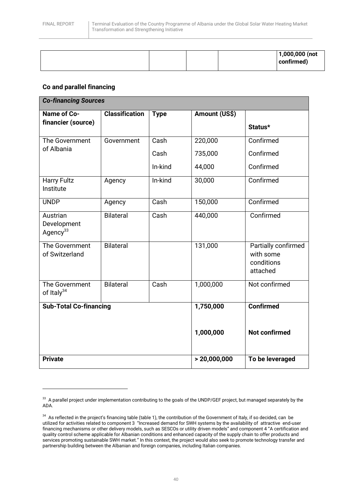**.** 

|  |  | $1,000,000$ (not<br>confirmed) |
|--|--|--------------------------------|
|  |  |                                |

### **Co and parallel financing**

| <b>Co-financing Sources</b>                     |                       |             |               |                                                            |
|-------------------------------------------------|-----------------------|-------------|---------------|------------------------------------------------------------|
| <b>Name of Co-</b>                              | <b>Classification</b> | <b>Type</b> | Amount (US\$) |                                                            |
| financier (source)                              |                       |             |               | Status*                                                    |
| The Government                                  | Government            | Cash        | 220,000       | Confirmed                                                  |
| of Albania                                      |                       | Cash        | 735,000       | Confirmed                                                  |
|                                                 |                       | In-kind     | 44,000        | Confirmed                                                  |
| <b>Harry Fultz</b><br>Institute                 | Agency                | In-kind     | 30,000        | Confirmed                                                  |
| <b>UNDP</b>                                     | Agency                | Cash        | 150,000       | Confirmed                                                  |
| Austrian<br>Development<br>Agency <sup>33</sup> | <b>Bilateral</b>      | Cash        | 440,000       | Confirmed                                                  |
| The Government<br>of Switzerland                | <b>Bilateral</b>      |             | 131,000       | Partially confirmed<br>with some<br>conditions<br>attached |
| The Government<br>of Italy <sup>34</sup>        | <b>Bilateral</b>      | Cash        | 1,000,000     | Not confirmed                                              |
| <b>Sub-Total Co-financing</b>                   |                       |             | 1,750,000     | <b>Confirmed</b>                                           |
|                                                 |                       |             | 1,000,000     | <b>Not confirmed</b>                                       |
| <b>Private</b>                                  |                       |             | > 20,000,000  | To be leveraged                                            |

 $33\,$  A parallel project under implementation contributing to the goals of the UNDP/GEF project, but managed separately by the ADA.

 $34$  As reflected in the project's financing table (table 1), the contribution of the Government of Italy, if so decided, can be utilized for activities related to component 3 "Increased demand for SWH systems by the availability of attractive end-user financing mechanisms or other delivery models, such as SESCOs or utility driven models" and component 4 "A certification and quality control scheme applicable for Albanian conditions and enhanced capacity of the supply chain to offer products and services promoting sustainable SWH market." In this context, the project would also seek to promote technology transfer and partnership building between the Albanian and foreign companies, including Italian companies.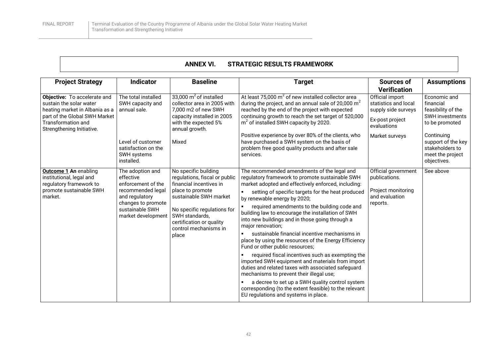## **ANNEX VI. STRATEGIC RESULTS FRAMEWORK**

<span id="page-41-0"></span>

| <b>Project Strategy</b>                                                                                                                                                       | <b>Indicator</b>                                                                                                                                          | <b>Baseline</b>                                                                                                                                                                                                                               | <b>Target</b>                                                                                                                                                                                                                                                                                                                                                                                                                                                                                                                                                                                                                                                                                                                                                                                                                                                                                                                                                           | Sources of<br><b>Verification</b>                                                                                  | <b>Assumptions</b>                                                                                                                                                                    |
|-------------------------------------------------------------------------------------------------------------------------------------------------------------------------------|-----------------------------------------------------------------------------------------------------------------------------------------------------------|-----------------------------------------------------------------------------------------------------------------------------------------------------------------------------------------------------------------------------------------------|-------------------------------------------------------------------------------------------------------------------------------------------------------------------------------------------------------------------------------------------------------------------------------------------------------------------------------------------------------------------------------------------------------------------------------------------------------------------------------------------------------------------------------------------------------------------------------------------------------------------------------------------------------------------------------------------------------------------------------------------------------------------------------------------------------------------------------------------------------------------------------------------------------------------------------------------------------------------------|--------------------------------------------------------------------------------------------------------------------|---------------------------------------------------------------------------------------------------------------------------------------------------------------------------------------|
| Objective: To accelerate and<br>sustain the solar water<br>heating market in Albania as a<br>part of the Global SWH Market<br>Transformation and<br>Strengthening Initiative. | The total installed<br>SWH capacity and<br>annual sale.<br>Level of customer<br>satisfaction on the<br>SWH systems<br>installed.                          | 33,000 $m^2$ of installed<br>collector area in 2005 with<br>7.000 m2 of new SWH<br>capacity installed in 2005<br>with the expected 5%<br>annual growth.<br>Mixed                                                                              | At least 75,000 $m^2$ of new installed collector area<br>during the project, and an annual sale of 20,000 $m2$<br>reached by the end of the project with expected<br>continuing growth to reach the set target of 520,000<br>$m2$ of installed SWH capacity by 2020.<br>Positive experience by over 80% of the clients, who<br>have purchased a SWH system on the basis of<br>problem free good quality products and after sale<br>services.                                                                                                                                                                                                                                                                                                                                                                                                                                                                                                                            | Official import<br>statistics and local<br>supply side surveys<br>Ex-post project<br>evaluations<br>Market surveys | Economic and<br>financial<br>feasibility of the<br><b>SWH investments</b><br>to be promoted<br>Continuing<br>support of the key<br>stakeholders to<br>meet the project<br>objectives. |
| <b>Outcome 1 An enabling</b><br>institutional, legal and<br>regulatory framework to<br>promote sustainable SWH<br>market.                                                     | The adoption and<br>effective<br>enforcement of the<br>recommended legal<br>and regulatory<br>changes to promote<br>sustainable SWH<br>market development | No specific building<br>regulations, fiscal or public<br>financial incentives in<br>place to promote<br>sustainable SWH market<br>No specific regulations for<br>SWH standards,<br>certification or quality<br>control mechanisms in<br>place | The recommended amendments of the legal and<br>regulatory framework to promote sustainable SWH<br>market adopted and effectively enforced, including:<br>setting of specific targets for the heat produced<br>$\blacksquare$<br>by renewable energy by 2020;<br>required amendments to the building code and<br>building law to encourage the installation of SWH<br>into new buildings and in those going through a<br>major renovation;<br>sustainable financial incentive mechanisms in<br>$\blacksquare$<br>place by using the resources of the Energy Efficiency<br>Fund or other public resources;<br>required fiscal incentives such as exempting the<br>imported SWH equipment and materials from import<br>duties and related taxes with associated safeguard<br>mechanisms to prevent their illegal use;<br>a decree to set up a SWH quality control system<br>corresponding (to the extent feasible) to the relevant<br>EU regulations and systems in place. | Official government<br>publications.<br>Project monitoring<br>and evaluation<br>reports.                           | See above                                                                                                                                                                             |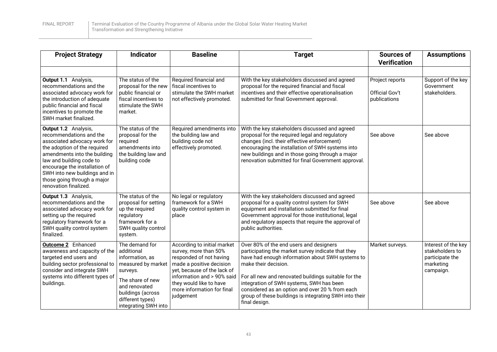| <b>Project Strategy</b>                                                                                                                                                                                                                                                                               | <b>Indicator</b>                                                                                                                                                                        | <b>Baseline</b>                                                                                                                                                                                                                                | <b>Target</b>                                                                                                                                                                                                                                                                                                                                                                                               | <b>Sources of</b><br><b>Verification</b>                 | <b>Assumptions</b>                                                                  |
|-------------------------------------------------------------------------------------------------------------------------------------------------------------------------------------------------------------------------------------------------------------------------------------------------------|-----------------------------------------------------------------------------------------------------------------------------------------------------------------------------------------|------------------------------------------------------------------------------------------------------------------------------------------------------------------------------------------------------------------------------------------------|-------------------------------------------------------------------------------------------------------------------------------------------------------------------------------------------------------------------------------------------------------------------------------------------------------------------------------------------------------------------------------------------------------------|----------------------------------------------------------|-------------------------------------------------------------------------------------|
| Output 1.1 Analysis,<br>recommendations and the<br>associated advocacy work for<br>the introduction of adequate<br>public financial and fiscal<br>incentives to promote the<br>SWH market finalized.                                                                                                  | The status of the<br>proposal for the new<br>public financial or<br>fiscal incentives to<br>stimulate the SWH<br>market.                                                                | Required financial and<br>fiscal incentives to<br>stimulate the SWH market<br>not effectively promoted.                                                                                                                                        | With the key stakeholders discussed and agreed<br>proposal for the required financial and fiscal<br>incentives and their effective operationalisation<br>submitted for final Government approval.                                                                                                                                                                                                           | Project reports<br><b>Official Gov't</b><br>publications | Support of the key<br>Government<br>stakeholders.                                   |
| Output 1.2 Analysis,<br>recommendations and the<br>associated advocacy work for<br>the adoption of the required<br>amendments into the building<br>law and building code to<br>encourage the installation of<br>SWH into new buildings and in<br>those going through a major<br>renovation finalized. | The status of the<br>proposal for the<br>required<br>amendments into<br>the building law and<br>building code                                                                           | Required amendments into<br>the building law and<br>building code not<br>effectively promoted.                                                                                                                                                 | With the key stakeholders discussed and agreed<br>proposal for the required legal and regulatory<br>changes (incl. their effective enforcement)<br>encouraging the installation of SWH systems into<br>new buildings and in those going through a major<br>renovation submitted for final Government approval.                                                                                              | See above                                                | See above                                                                           |
| Output 1.3 Analysis,<br>recommendations and the<br>associated advocacy work for<br>setting up the required<br>regulatory framework for a<br>SWH quality control system<br>finalized.                                                                                                                  | The status of the<br>proposal for setting<br>up the required<br>regulatory<br>framework for a<br>SWH quality control<br>system.                                                         | No legal or regulatory<br>framework for a SWH<br>quality control system in<br>place                                                                                                                                                            | With the key stakeholders discussed and agreed<br>proposal for a quality control system for SWH<br>equipment and installation submitted for final<br>Government approval for those institutional, legal<br>and regulatory aspects that require the approval of<br>public authorities.                                                                                                                       | See above                                                | See above                                                                           |
| <b>Outcome 2</b> Enhanced<br>awareness and capacity of the<br>targeted end users and<br>building sector professional to<br>consider and integrate SWH<br>systems into different types of<br>buildings.                                                                                                | The demand for<br>additional<br>information, as<br>measured by market<br>surveys.<br>The share of new<br>and renovated<br>buildings (across<br>different types)<br>integrating SWH into | According to initial market<br>survey, more than 50%<br>responded of not having<br>made a positive decision<br>yet, because of the lack of<br>information and > 90% said<br>they would like to have<br>more information for final<br>judgement | Over 80% of the end users and designers<br>participating the market survey indicate that they<br>have had enough information about SWH systems to<br>make their decision.<br>For all new and renovated buildings suitable for the<br>integration of SWH systems, SWH has been<br>considered as an option and over 20 % from each<br>group of these buildings is integrating SWH into their<br>final design. | Market surveys.                                          | Interest of the key<br>stakeholders to<br>participate the<br>marketing<br>campaign. |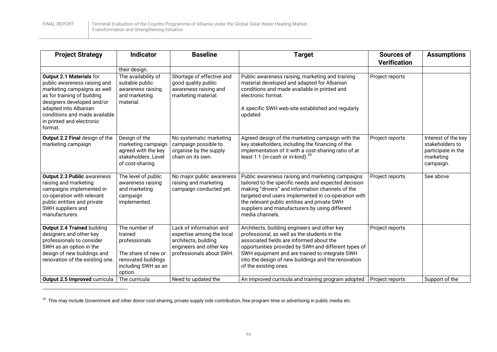FINAL REPORT Terminal Evaluation of the Country Programme of Albania under the Global Solar Water Heating Market Transformation and Strengthening Initiative

| <b>Project Strategy</b>                                                                                                                                                                                                                                | <b>Indicator</b>                                                                                                                           | <b>Baseline</b>                                                                                                                                            | <b>Target</b>                                                                                                                                                                                                                                                                                                                                                                            | <b>Sources of</b><br><b>Verification</b>  | <b>Assumptions</b>                                                                     |
|--------------------------------------------------------------------------------------------------------------------------------------------------------------------------------------------------------------------------------------------------------|--------------------------------------------------------------------------------------------------------------------------------------------|------------------------------------------------------------------------------------------------------------------------------------------------------------|------------------------------------------------------------------------------------------------------------------------------------------------------------------------------------------------------------------------------------------------------------------------------------------------------------------------------------------------------------------------------------------|-------------------------------------------|----------------------------------------------------------------------------------------|
| Output 2.1 Materials for<br>public awareness raising and<br>marketing campaigns as well<br>as for training of building<br>designers developed and/or<br>adapted into Albanian<br>conditions and made available<br>in printed and electronic<br>format. | their design.<br>The availability of<br>suitable public<br>awareness raising<br>and marketing<br>material.                                 | Shortage of effective and<br>good quality public<br>awareness raising and<br>marketing material.                                                           | Public awareness raising, marketing and training<br>material developed and adapted for Albanian<br>conditions and made available in printed and<br>electronic format.<br>A specific SWH web-site established and regularly<br>updated                                                                                                                                                    | Project reports                           |                                                                                        |
| Output 2.2 Final design of the<br>marketing campaign                                                                                                                                                                                                   | Design of the<br>marketing campaign<br>agreed with the key<br>stakeholders. Level<br>of cost-sharing.                                      | No systematic marketing<br>campaign possible to<br>organise by the supply<br>chain on its own.                                                             | Agreed design of the marketing campaign with the<br>key stakeholders, including the financing of the<br>implementation of it with a cost-sharing ratio of at<br>least 1:1 (in-cash or in-kind). <sup>35</sup>                                                                                                                                                                            | Project reports                           | Interest of the key<br>stakeholders to<br>participate in the<br>marketing<br>campaign. |
| <b>Output 2.3 Public awareness</b><br>raising and marketing<br>campaigns implemented in<br>co-operation with relevant<br>public entities and private<br>SWH suppliers and<br>manufacturers.                                                            | The level of public<br>awareness raising<br>and marketing<br>campaign<br>implemented.                                                      | No major public awareness<br>raising and marketing<br>campaign conducted yet.                                                                              | Public awareness raising and marketing campaigns<br>tailored to the specific needs and expected decision<br>making "drivers" and information channels of the<br>targeted end users implemented in co-operation with<br>the relevant public entities and private SWH<br>suppliers and manufacturers by using different<br>media channels.                                                 | Project reports                           | See above                                                                              |
| <b>Output 2.4 Trained building</b><br>designers and other key<br>professionals to consider<br>SWH as an option in the<br>design of new buildings and<br>renovation of the existing one.<br>Output 2.5 Improved curricula                               | The number of<br>trained<br>professionals<br>The share of new or<br>renovated buildings<br>including SWH as an<br>option.<br>The curricula | Lack of information and<br>expertise among the local<br>architects, building<br>engineers and other key<br>professionals about SWH.<br>Need to updated the | Architects, building engineers and other key<br>professional, as well as the students in the<br>associated fields are informed about the<br>opportunities provided by SWH and different types of<br>SWH equipment and are trained to integrate SWH<br>into the design of new buildings and the renovation<br>of the existing ones.<br>An improved curricula and training program adopted | Project reports<br><b>Project reports</b> | Support of the                                                                         |

 $^{35}$  This may include Government and other donor cost-sharing, private supply side contribution, free program time or advertising in public media etc.

 $\overline{a}$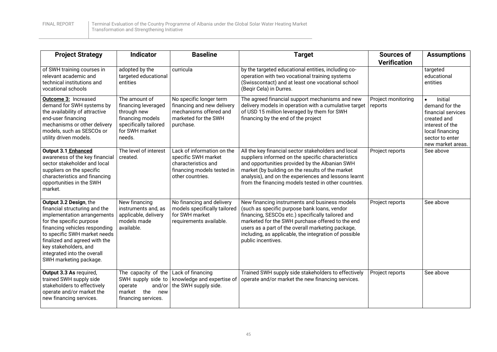| <b>Project Strategy</b>                                                                                                                                                                                                                                                                                | <b>Indicator</b>                                                                                                                     | <b>Baseline</b>                                                                                                            | <b>Target</b>                                                                                                                                                                                                                                                                                                                              | <b>Sources of</b><br><b>Verification</b> | <b>Assumptions</b>                                                                                                                           |
|--------------------------------------------------------------------------------------------------------------------------------------------------------------------------------------------------------------------------------------------------------------------------------------------------------|--------------------------------------------------------------------------------------------------------------------------------------|----------------------------------------------------------------------------------------------------------------------------|--------------------------------------------------------------------------------------------------------------------------------------------------------------------------------------------------------------------------------------------------------------------------------------------------------------------------------------------|------------------------------------------|----------------------------------------------------------------------------------------------------------------------------------------------|
| of SWH training courses in<br>relevant academic and<br>technical institutions and<br>vocational schools                                                                                                                                                                                                | adopted by the<br>targeted educational<br>entities                                                                                   | curricula                                                                                                                  | by the targeted educational entities, including co-<br>operation with two vocational training systems<br>(Swisscontact) and at least one vocational school<br>(Begir Cela) in Durres.                                                                                                                                                      |                                          | targeted<br>educational<br>entities                                                                                                          |
| <b>Outcome 3: Increased</b><br>demand for SWH systems by<br>the availability of attractive<br>end-user financing<br>mechanisms or other delivery<br>models, such as SESCOs or<br>utility driven models.                                                                                                | The amount of<br>financing leveraged<br>through new<br>financing models<br>specifically tailored<br>for SWH market<br>needs.         | No specific longer term<br>financing and new delivery<br>mechanisms offered and<br>marketed for the SWH<br>purchase.       | The agreed financial support mechanisms and new<br>delivery models in operation with a cumulative target<br>of USD 15 million leveraged by them for SWH<br>financing by the end of the project                                                                                                                                             | Project monitoring<br>reports            | Initial<br>demand for the<br>financial services<br>created and<br>interest of the<br>local financing<br>sector to enter<br>new market areas. |
| Output 3.1 Enhanced<br>awareness of the key financial<br>sector stakeholder and local<br>suppliers on the specific<br>characteristics and financing<br>opportunities in the SWH<br>market.                                                                                                             | The level of interest<br>created.                                                                                                    | Lack of information on the<br>specific SWH market<br>characteristics and<br>financing models tested in<br>other countries. | All the key financial sector stakeholders and local<br>suppliers informed on the specific characteristics<br>and opportunities provided by the Albanian SWH<br>market (by building on the results of the market<br>analysis), and on the experiences and lessons learnt<br>from the financing models tested in other countries.            | Project reports                          | See above                                                                                                                                    |
| Output 3.2 Design, the<br>financial structuring and the<br>implementation arrangements<br>for the specific purpose<br>financing vehicles responding<br>to specific SWH market needs<br>finalized and agreed with the<br>key stakeholders, and<br>integrated into the overall<br>SWH marketing package. | New financing<br>instruments and, as<br>applicable, delivery<br>models made<br>available.                                            | No financing and delivery<br>models specifically tailored<br>for SWH market<br>requirements available.                     | New financing instruments and business models<br>(such as specific purpose bank loans, vendor<br>financing, SESCOs etc.) specifically tailored and<br>marketed for the SWH purchase offered to the end<br>users as a part of the overall marketing package,<br>including, as applicable, the integration of possible<br>public incentives. | Project reports                          | See above                                                                                                                                    |
| Output 3.3 As required,<br>trained SWH supply side<br>stakeholders to effectively<br>operate and/or market the<br>new financing services.                                                                                                                                                              | The capacity of the $\vert$ Lack of financing<br>SWH supply side to<br>and/or<br>operate<br>market the<br>new<br>financing services. | knowledge and expertise of<br>the SWH supply side.                                                                         | Trained SWH supply side stakeholders to effectively<br>operate and/or market the new financing services.                                                                                                                                                                                                                                   | Project reports                          | See above                                                                                                                                    |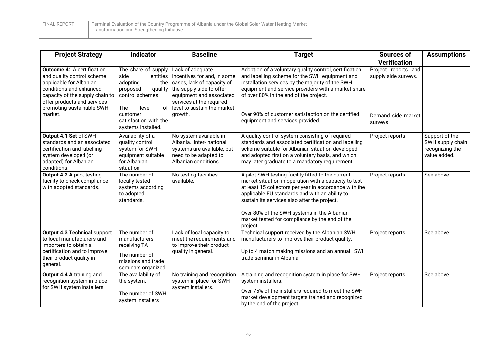| <b>Project Strategy</b>                                                                                                                                                                                              | Indicator                                                                                                                   | <b>Baseline</b>                                                                                                                                                                                  | <b>Target</b>                                                                                                                                                                                                                                                                                                                                                                        | <b>Sources of</b><br><b>Verification</b>    | <b>Assumptions</b>                                                    |
|----------------------------------------------------------------------------------------------------------------------------------------------------------------------------------------------------------------------|-----------------------------------------------------------------------------------------------------------------------------|--------------------------------------------------------------------------------------------------------------------------------------------------------------------------------------------------|--------------------------------------------------------------------------------------------------------------------------------------------------------------------------------------------------------------------------------------------------------------------------------------------------------------------------------------------------------------------------------------|---------------------------------------------|-----------------------------------------------------------------------|
| <b>Outcome 4: A certification</b><br>and quality control scheme<br>applicable for Albanian<br>conditions and enhanced<br>capacity of the supply chain to<br>offer products and services<br>promoting sustainable SWH | The share of supply<br>side<br>entities<br>adopting<br>the<br>proposed<br>quality<br>control schemes.<br>The<br>level<br>οf | Lack of adequate<br>incentives for and, in some<br>cases, lack of capacity of<br>the supply side to offer<br>equipment and associated<br>services at the required<br>level to sustain the market | Adoption of a voluntary quality control, certification<br>and labelling scheme for the SWH equipment and<br>installation services by the majority of the SWH<br>equipment and service providers with a market share<br>of over 80% in the end of the project.                                                                                                                        | Project reports and<br>supply side surveys. |                                                                       |
| market.                                                                                                                                                                                                              | customer<br>satisfaction with the<br>systems installed.                                                                     | growth.                                                                                                                                                                                          | Over 90% of customer satisfaction on the certified<br>equipment and services provided.                                                                                                                                                                                                                                                                                               | Demand side market<br>surveys               |                                                                       |
| Output 4.1 Set of SWH<br>standards and an associated<br>certification and labelling<br>system developed (or<br>adapted) for Albanian<br>conditions.                                                                  | Availability of a<br>quality control<br>system for SWH<br>equipment suitable<br>for Albanian<br>situation.                  | No system available in<br>Albania. Inter- national<br>systems are available, but<br>need to be adapted to<br>Albanian conditions                                                                 | A quality control system consisting of required<br>standards and associated certification and labelling<br>scheme suitable for Albanian situation developed<br>and adopted first on a voluntary basis, and which<br>may later graduate to a mandatory requirement.                                                                                                                   | Project reports                             | Support of the<br>SWH supply chain<br>recognizing the<br>value added. |
| <b>Output 4.2 A pilot testing</b><br>facility to check compliance<br>with adopted standards.                                                                                                                         | The number of<br>locally tested<br>systems according<br>to adopted<br>standards.                                            | No testing facilities<br>available.                                                                                                                                                              | A pilot SWH testing facility fitted to the current<br>market situation in operation with a capacity to test<br>at least 15 collectors per year in accordance with the<br>applicable EU standards and with an ability to<br>sustain its services also after the project.<br>Over 80% of the SWH systems in the Albanian<br>market tested for compliance by the end of the<br>project. | Project reports                             | See above                                                             |
| <b>Output 4.3 Technical support</b><br>to local manufacturers and<br>importers to obtain a<br>certification and to improve<br>their product quality in<br>general.                                                   | The number of<br>manufacturers<br>receiving TA<br>The number of<br>missions and trade<br>seminars organized                 | Lack of local capacity to<br>meet the requirements and<br>to improve their product<br>quality in general.                                                                                        | Technical support received by the Albanian SWH<br>manufacturers to improve their product quality.<br>Up to 4 match making missions and an annual SWH<br>trade seminar in Albania                                                                                                                                                                                                     | Project reports                             | See above                                                             |
| Output 4.4 A training and<br>recognition system in place<br>for SWH system installers                                                                                                                                | The availability of<br>the system.<br>The number of SWH<br>system installers                                                | No training and recognition<br>system in place for SWH<br>system installers.                                                                                                                     | A training and recognition system in place for SWH<br>system installers.<br>Over 75% of the installers required to meet the SWH<br>market development targets trained and recognized<br>by the end of the project.                                                                                                                                                                   | Project reports                             | See above                                                             |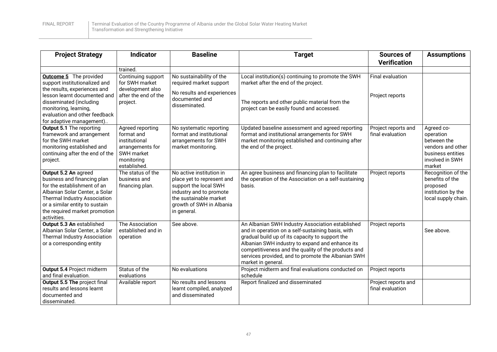| <b>Project Strategy</b>                                                                                                                                                                                                                         | <b>Indicator</b>                                                                                                | <b>Baseline</b>                                                                                                                                                                 | <b>Target</b>                                                                                                                                                                                                                                                                                                                                  | Sources of<br><b>Verification</b>       | <b>Assumptions</b>                                                                                            |
|-------------------------------------------------------------------------------------------------------------------------------------------------------------------------------------------------------------------------------------------------|-----------------------------------------------------------------------------------------------------------------|---------------------------------------------------------------------------------------------------------------------------------------------------------------------------------|------------------------------------------------------------------------------------------------------------------------------------------------------------------------------------------------------------------------------------------------------------------------------------------------------------------------------------------------|-----------------------------------------|---------------------------------------------------------------------------------------------------------------|
|                                                                                                                                                                                                                                                 | trained.                                                                                                        |                                                                                                                                                                                 |                                                                                                                                                                                                                                                                                                                                                |                                         |                                                                                                               |
| <b>Outcome 5</b> The provided<br>support institutionalized and<br>the results, experiences and<br>lesson learnt documented and<br>disseminated (including<br>monitoring, learning,<br>evaluation and other feedback<br>for adaptive management) | Continuing support<br>for SWH market<br>development also<br>after the end of the<br>project.                    | No sustainability of the<br>required market support<br>No results and experiences<br>documented and<br>disseminated.                                                            | Local institution(s) continuing to promote the SWH<br>market after the end of the project.<br>The reports and other public material from the<br>project can be easily found and accessed.                                                                                                                                                      | Final evaluation<br>Project reports     |                                                                                                               |
| <b>Output 5.1 The reporting</b><br>framework and arrangement<br>for the SWH market<br>monitoring established and<br>continuing after the end of the<br>project.                                                                                 | Agreed reporting<br>format and<br>institutional<br>arrangements for<br>SWH market<br>monitoring<br>established. | No systematic reporting<br>format and institutional<br>arrangements for SWH<br>market monitoring.                                                                               | Updated baseline assessment and agreed reporting<br>format and institutional arrangements for SWH<br>market monitoring established and continuing after<br>the end of the project.                                                                                                                                                             | Project reports and<br>final evaluation | Agreed co-<br>operation<br>between the<br>vendors and other<br>business entities<br>involved in SWH<br>market |
| Output 5.2 An agreed<br>business and financing plan<br>for the establishment of an<br>Albanian Solar Center, a Solar<br><b>Thermal Industry Association</b><br>or a similar entity to sustain<br>the required market promotion<br>activities.   | The status of the<br>business and<br>financing plan.                                                            | No active institution in<br>place yet to represent and<br>support the local SWH<br>industry and to promote<br>the sustainable market<br>growth of SWH in Albania<br>in general. | An agree business and financing plan to facilitate<br>the operation of the Association on a self-sustaining<br>basis.                                                                                                                                                                                                                          | Project reports                         | Recognition of the<br>benefits of the<br>proposed<br>institution by the<br>local supply chain.                |
| Output 5.3 An established<br>Albanian Solar Center, a Solar<br><b>Thermal Industry Association</b><br>or a corresponding entity                                                                                                                 | The Association<br>established and in<br>operation                                                              | See above.                                                                                                                                                                      | An Albanian SWH Industry Association established<br>and in operation on a self-sustaining basis, with<br>gradual build up of its capacity to support the<br>Albanian SWH industry to expand and enhance its<br>competitiveness and the quality of the products and<br>services provided, and to promote the Albanian SWH<br>market in general. | Project reports                         | See above.                                                                                                    |
| Output 5.4 Project midterm<br>and final evaluation.                                                                                                                                                                                             | Status of the<br>evaluations                                                                                    | No evaluations                                                                                                                                                                  | Project midterm and final evaluations conducted on<br>schedule                                                                                                                                                                                                                                                                                 | Project reports                         |                                                                                                               |
| Output 5.5 The project final<br>results and lessons learnt<br>documented and<br>disseminated.                                                                                                                                                   | Available report                                                                                                | No results and lessons<br>learnt compiled, analyzed<br>and disseminated                                                                                                         | Report finalized and disseminated                                                                                                                                                                                                                                                                                                              | Project reports and<br>final evaluation |                                                                                                               |